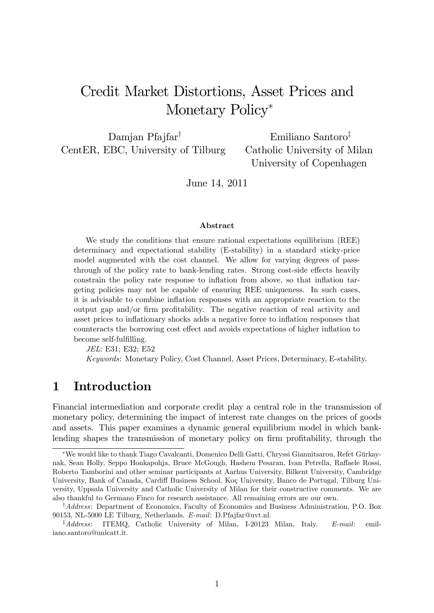# Credit Market Distortions, Asset Prices and Monetary Policy<sup>\*</sup>

Damjan Pfajfar<sup>†</sup> CentER, EBC, University of Tilburg

Emiliano Santoro<sup> $†$ </sup> Catholic University of Milan University of Copenhagen

June 14, 2011

#### Abstract

We study the conditions that ensure rational expectations equilibrium (REE) determinacy and expectational stability (E-stability) in a standard sticky-price model augmented with the cost channel. We allow for varying degrees of passthrough of the policy rate to bank-lending rates. Strong cost-side effects heavily constrain the policy rate response to inflation from above, so that inflation targeting policies may not be capable of ensuring REE uniqueness. In such cases, it is advisable to combine inflation responses with an appropriate reaction to the output gap and/or firm profitability. The negative reaction of real activity and asset prices to inflationary shocks adds a negative force to inflation responses that counteracts the borrowing cost effect and avoids expectations of higher inflation to become self-fulfilling.

JEL: E31; E32; E52 Keywords: Monetary Policy, Cost Channel, Asset Prices, Determinacy, E-stability.

## 1 Introduction

Financial intermediation and corporate credit play a central role in the transmission of monetary policy, determining the impact of interest rate changes on the prices of goods and assets. This paper examines a dynamic general equilibrium model in which banklending shapes the transmission of monetary policy on firm profitability, through the

<sup>\*</sup>We would like to thank Tiago Cavalcanti, Domenico Delli Gatti, Chryssi Giannitsarou, Refet Gürkaynak, Sean Holly, Seppo Honkapohja, Bruce McGough, Hashem Pesaran, Ivan Petrella, Raffaele Rossi, Roberto Tamborini and other seminar participants at Aarhus University, Bilkent University, Cambridge University, Bank of Canada, Cardiff Business School, Koç University, Banco de Portugal, Tilburg University, Uppsala University and Catholic University of Milan for their constructive comments. We are also thankful to Germano Finco for research assistance. All remaining errors are our own.

 $^{\dagger}$ Address: Department of Economics, Faculty of Economics and Business Administration, P.O. Box 90153, NL-5000 LE Tilburg, Netherlands. E-mail: D.Pfajfar@uvt.nl.

 $\frac{4}{4}$  Address: ITEMQ, Catholic University of Milan, I-20123 Milan, Italy. E-mail: emiliano.santoro@unicatt.it.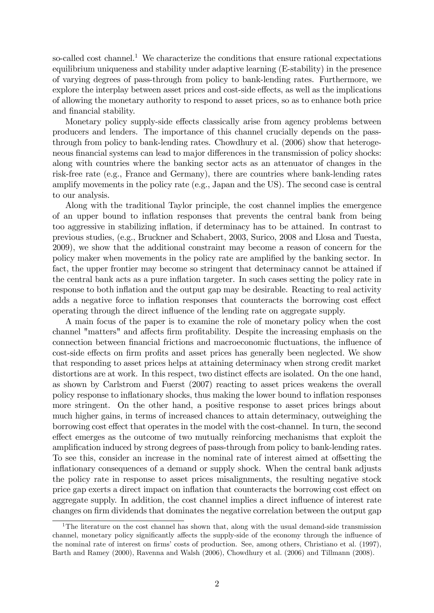so-called cost channel.<sup>1</sup> We characterize the conditions that ensure rational expectations equilibrium uniqueness and stability under adaptive learning (E-stability) in the presence of varying degrees of pass-through from policy to bank-lending rates. Furthermore, we explore the interplay between asset prices and cost-side effects, as well as the implications of allowing the monetary authority to respond to asset prices, so as to enhance both price and financial stability.

Monetary policy supply-side effects classically arise from agency problems between producers and lenders. The importance of this channel crucially depends on the passthrough from policy to bank-lending rates. Chowdhury et al. (2006) show that heterogeneous financial systems can lead to major differences in the transmission of policy shocks: along with countries where the banking sector acts as an attenuator of changes in the risk-free rate (e.g., France and Germany), there are countries where bank-lending rates amplify movements in the policy rate (e.g., Japan and the US). The second case is central to our analysis.

Along with the traditional Taylor principle, the cost channel implies the emergence of an upper bound to ináation responses that prevents the central bank from being too aggressive in stabilizing ináation, if determinacy has to be attained. In contrast to previous studies, (e.g., Bruckner and Schabert, 2003, Surico, 2008 and Llosa and Tuesta, 2009), we show that the additional constraint may become a reason of concern for the policy maker when movements in the policy rate are amplified by the banking sector. In fact, the upper frontier may become so stringent that determinacy cannot be attained if the central bank acts as a pure ináation targeter. In such cases setting the policy rate in response to both inflation and the output gap may be desirable. Reacting to real activity adds a negative force to inflation responses that counteracts the borrowing cost effect operating through the direct ináuence of the lending rate on aggregate supply.

A main focus of the paper is to examine the role of monetary policy when the cost channel "matters" and affects firm profitability. Despite the increasing emphasis on the connection between financial frictions and macroeconomic fluctuations, the influence of cost-side effects on firm profits and asset prices has generally been neglected. We show that responding to asset prices helps at attaining determinacy when strong credit market distortions are at work. In this respect, two distinct effects are isolated. On the one hand, as shown by Carlstrom and Fuerst (2007) reacting to asset prices weakens the overall policy response to ináationary shocks, thus making the lower bound to ináation responses more stringent. On the other hand, a positive response to asset prices brings about much higher gains, in terms of increased chances to attain determinacy, outweighing the borrowing cost effect that operates in the model with the cost-channel. In turn, the second effect emerges as the outcome of two mutually reinforcing mechanisms that exploit the amplification induced by strong degrees of pass-through from policy to bank-lending rates. To see this, consider an increase in the nominal rate of interest aimed at offsetting the inflationary consequences of a demand or supply shock. When the central bank adjusts the policy rate in response to asset prices misalignments, the resulting negative stock price gap exerts a direct impact on inflation that counteracts the borrowing cost effect on aggregate supply. In addition, the cost channel implies a direct influence of interest rate changes on firm dividends that dominates the negative correlation between the output gap

<sup>&</sup>lt;sup>1</sup>The literature on the cost channel has shown that, along with the usual demand-side transmission channel, monetary policy significantly affects the supply-side of the economy through the influence of the nominal rate of interest on firms' costs of production. See, among others, Christiano et al. (1997), Barth and Ramey (2000), Ravenna and Walsh (2006), Chowdhury et al. (2006) and Tillmann (2008).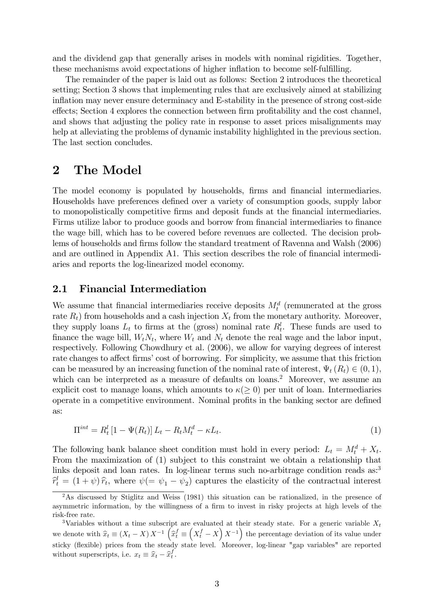and the dividend gap that generally arises in models with nominal rigidities. Together, these mechanisms avoid expectations of higher inflation to become self-fulfilling.

The remainder of the paper is laid out as follows: Section 2 introduces the theoretical setting; Section 3 shows that implementing rules that are exclusively aimed at stabilizing inflation may never ensure determinacy and E-stability in the presence of strong cost-side effects; Section 4 explores the connection between firm profitability and the cost channel, and shows that adjusting the policy rate in response to asset prices misalignments may help at alleviating the problems of dynamic instability highlighted in the previous section. The last section concludes.

## 2 The Model

The model economy is populated by households, firms and financial intermediaries. Households have preferences defined over a variety of consumption goods, supply labor to monopolistically competitive firms and deposit funds at the financial intermediaries. Firms utilize labor to produce goods and borrow from financial intermediaries to finance the wage bill, which has to be covered before revenues are collected. The decision problems of households and firms follow the standard treatment of Ravenna and Walsh (2006) and are outlined in Appendix A1. This section describes the role of financial intermediaries and reports the log-linearized model economy.

### 2.1 Financial Intermediation

We assume that financial intermediaries receive deposits  $M_t^d$  (remunerated at the gross rate  $R_t$ ) from households and a cash injection  $X_t$  from the monetary authority. Moreover, they supply loans  $L_t$  to firms at the (gross) nominal rate  $R_t^l$ . These funds are used to finance the wage bill,  $W_t N_t$ , where  $W_t$  and  $N_t$  denote the real wage and the labor input, respectively. Following Chowdhury et al. (2006), we allow for varying degrees of interest rate changes to affect firms' cost of borrowing. For simplicity, we assume that this friction can be measured by an increasing function of the nominal rate of interest,  $\Psi_t(R_t) \in (0,1)$ , which can be interpreted as a measure of defaults on loans.<sup>2</sup> Moreover, we assume an explicit cost to manage loans, which amounts to  $\kappa(\geq 0)$  per unit of loan. Intermediaries operate in a competitive environment. Nominal profits in the banking sector are defined as:

$$
\Pi^{int} = R_t^l \left[ 1 - \Psi(R_t) \right] L_t - R_t M_t^d - \kappa L_t. \tag{1}
$$

The following bank balance sheet condition must hold in every period:  $L_t = M_t^d + X_t$ . From the maximization of (1) subject to this constraint we obtain a relationship that links deposit and loan rates. In log-linear terms such no-arbitrage condition reads as:<sup>3</sup>  $\hat{r}_t^l = (1 + \psi)\hat{r}_t$ , where  $\psi (= \psi_1 - \psi_2)$  captures the elasticity of the contractual interest

<sup>&</sup>lt;sup>2</sup>As discussed by Stiglitz and Weiss (1981) this situation can be rationalized, in the presence of asymmetric information, by the willingness of a firm to invest in risky projects at high levels of the risk-free rate.

<sup>&</sup>lt;sup>3</sup>Variables without a time subscript are evaluated at their steady state. For a generic variable  $X_t$ we denote with  $\hat{x}_t \equiv (X_t - X) X^{-1} \left( \hat{x}_t^f \equiv$  $(X_t^f - X) X^{-1}$  the percentage deviation of its value under sticky (flexible) prices from the steady state level. Moreover, log-linear "gap variables" are reported without superscripts, i.e.  $x_t \equiv \hat{x}_t - \hat{x}_t^f$ .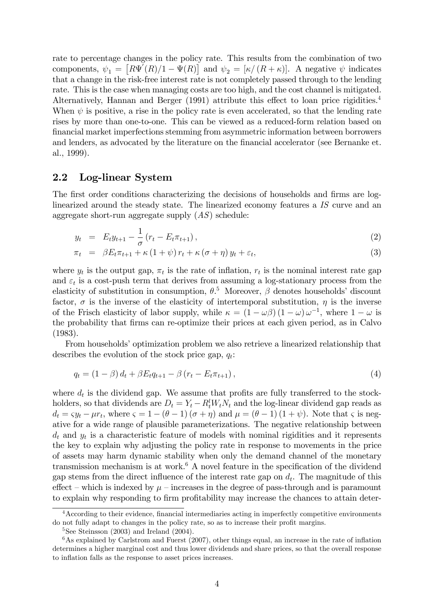rate to percentage changes in the policy rate. This results from the combination of two components,  $\psi_1 = [R\Psi'(R)/1 - \Psi(R)]$  and  $\psi_2 = [\kappa/(R+\kappa)]$ . A negative  $\psi$  indicates that a change in the risk-free interest rate is not completely passed through to the lending rate. This is the case when managing costs are too high, and the cost channel is mitigated. Alternatively, Hannan and Berger  $(1991)$  attribute this effect to loan price rigidities.<sup>4</sup> When  $\psi$  is positive, a rise in the policy rate is even accelerated, so that the lending rate rises by more than one-to-one. This can be viewed as a reduced-form relation based on Önancial market imperfections stemming from asymmetric information between borrowers and lenders, as advocated by the literature on the financial accelerator (see Bernanke et. al., 1999).

### 2.2 Log-linear System

The first order conditions characterizing the decisions of households and firms are loglinearized around the steady state. The linearized economy features a IS curve and an aggregate short-run aggregate supply  $(AS)$  schedule:

$$
y_t = E_t y_{t+1} - \frac{1}{\sigma} (r_t - E_t \pi_{t+1}), \qquad (2)
$$

$$
\pi_t = \beta E_t \pi_{t+1} + \kappa (1 + \psi) r_t + \kappa (\sigma + \eta) y_t + \varepsilon_t, \tag{3}
$$

where  $y_t$  is the output gap,  $\pi_t$  is the rate of inflation,  $r_t$  is the nominal interest rate gap and  $\varepsilon_t$  is a cost-push term that derives from assuming a log-stationary process from the elasticity of substitution in consumption,  $\theta$ .<sup>5</sup> Moreover,  $\beta$  denotes households' discount factor,  $\sigma$  is the inverse of the elasticity of intertemporal substitution,  $\eta$  is the inverse of the Frisch elasticity of labor supply, while  $\kappa = (1 - \omega \beta) (1 - \omega) \omega^{-1}$ , where  $1 - \omega$  is the probability that Örms can re-optimize their prices at each given period, as in Calvo (1983).

From households' optimization problem we also retrieve a linearized relationship that describes the evolution of the stock price gap,  $q_t$ :

$$
q_{t} = (1 - \beta) d_{t} + \beta E_{t} q_{t+1} - \beta (r_{t} - E_{t} \pi_{t+1}), \qquad (4)
$$

where  $d_t$  is the dividend gap. We assume that profits are fully transferred to the stockholders, so that dividends are  $D_t = Y_t - R_t^l W_t N_t$  and the log-linear dividend gap reads as  $d_t = \varsigma y_t - \mu r_t$ , where  $\varsigma = 1 - (\theta - 1) (\sigma + \eta)$  and  $\mu = (\theta - 1) (1 + \psi)$ . Note that  $\varsigma$  is negative for a wide range of plausible parameterizations. The negative relationship between  $d_t$  and  $y_t$  is a characteristic feature of models with nominal rigidities and it represents the key to explain why adjusting the policy rate in response to movements in the price of assets may harm dynamic stability when only the demand channel of the monetary transmission mechanism is at work.<sup>6</sup> A novel feature in the specification of the dividend gap stems from the direct influence of the interest rate gap on  $d_t$ . The magnitude of this effect – which is indexed by  $\mu$  – increases in the degree of pass-through and is paramount to explain why responding to firm profitability may increase the chances to attain deter-

<sup>&</sup>lt;sup>4</sup> According to their evidence, financial intermediaries acting in imperfectly competitive environments do not fully adapt to changes in the policy rate, so as to increase their profit margins.

 $5$ See Steinsson (2003) and Ireland (2004).

 $6$ As explained by Carlstrom and Fuerst (2007), other things equal, an increase in the rate of inflation determines a higher marginal cost and thus lower dividends and share prices, so that the overall response to inflation falls as the response to asset prices increases.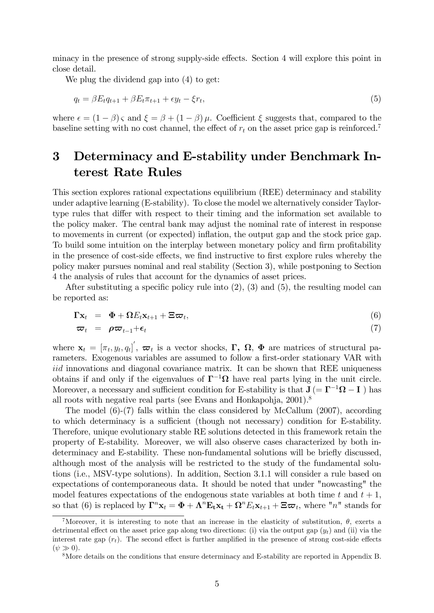minacy in the presence of strong supply-side effects. Section 4 will explore this point in close detail.

We plug the dividend gap into (4) to get:

$$
q_t = \beta E_t q_{t+1} + \beta E_t \pi_{t+1} + \epsilon y_t - \xi r_t, \tag{5}
$$

where  $\epsilon = (1 - \beta) \varsigma$  and  $\xi = \beta + (1 - \beta) \mu$ . Coefficient  $\xi$  suggests that, compared to the baseline setting with no cost channel, the effect of  $r_t$  on the asset price gap is reinforced.<sup>7</sup>

# 3 Determinacy and E-stability under Benchmark Interest Rate Rules

This section explores rational expectations equilibrium (REE) determinacy and stability under adaptive learning (E-stability). To close the model we alternatively consider Taylortype rules that differ with respect to their timing and the information set available to the policy maker. The central bank may adjust the nominal rate of interest in response to movements in current (or expected) ináation, the output gap and the stock price gap. To build some intuition on the interplay between monetary policy and firm profitability in the presence of cost-side effects, we find instructive to first explore rules whereby the policy maker pursues nominal and real stability (Section 3), while postponing to Section 4 the analysis of rules that account for the dynamics of asset prices.

After substituting a specific policy rule into  $(2)$ ,  $(3)$  and  $(5)$ , the resulting model can be reported as:

$$
\Gamma \mathbf{x}_t = \mathbf{\Phi} + \Omega E_t \mathbf{x}_{t+1} + \Xi \boldsymbol{\varpi}_t, \tag{6}
$$

$$
\varpi_t = \rho \varpi_{t-1} + \epsilon_t \tag{7}
$$

where  $\mathbf{x}_t = [\pi_t, y_t, q_t]^{'}, \boldsymbol{\varpi}_t$  is a vector shocks,  $\boldsymbol{\Gamma}, \boldsymbol{\Omega}, \boldsymbol{\Phi}$  are matrices of structural parameters. Exogenous variables are assumed to follow a first-order stationary VAR with iid innovations and diagonal covariance matrix. It can be shown that REE uniqueness obtains if and only if the eigenvalues of  $\Gamma^{-1}\Omega$  have real parts lying in the unit circle. Moreover, a necessary and sufficient condition for E-stability is that  $J = \Gamma^{-1} \Omega - I$  ) has all roots with negative real parts (see Evans and Honkapohja, 2001).<sup>8</sup>

The model (6)-(7) falls within the class considered by McCallum (2007), according to which determinacy is a sufficient (though not necessary) condition for E-stability. Therefore, unique evolutionary stable RE solutions detected in this framework retain the property of E-stability. Moreover, we will also observe cases characterized by both indeterminacy and E-stability. These non-fundamental solutions will be briefly discussed, although most of the analysis will be restricted to the study of the fundamental solutions (i.e., MSV-type solutions). In addition, Section 3.1.1 will consider a rule based on expectations of contemporaneous data. It should be noted that under "nowcasting" the model features expectations of the endogenous state variables at both time t and  $t + 1$ , so that (6) is replaced by  $\mathbf{\Gamma}^n \mathbf{x}_t = \mathbf{\Phi} + \mathbf{\Lambda}^n \mathbf{E}_t \mathbf{x}_t + \mathbf{\Omega}^n E_t \mathbf{x}_{t+1} + \Xi \boldsymbol{\varpi}_t$ , where "n" stands for

<sup>&</sup>lt;sup>7</sup>Moreover, it is interesting to note that an increase in the elasticity of substitution,  $\theta$ , exerts a detrimental effect on the asset price gap along two directions: (i) via the output gap  $(y_t)$  and (ii) via the interest rate gap  $(r<sub>t</sub>)$ . The second effect is further amplified in the presence of strong cost-side effects  $(\psi \gg 0).$ 

<sup>&</sup>lt;sup>8</sup>More details on the conditions that ensure determinacy and E-stability are reported in Appendix B.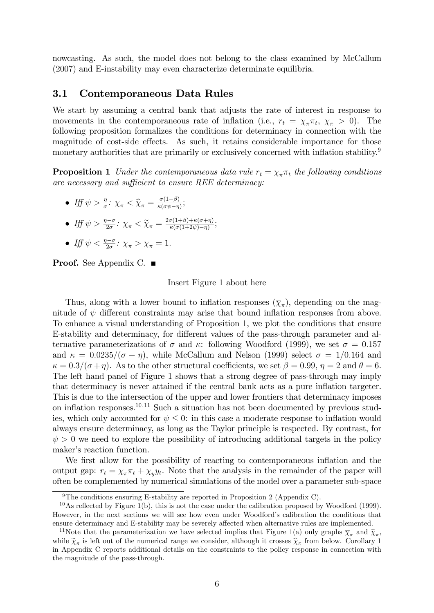nowcasting. As such, the model does not belong to the class examined by McCallum (2007) and E-instability may even characterize determinate equilibria.

### 3.1 Contemporaneous Data Rules

We start by assuming a central bank that adjusts the rate of interest in response to movements in the contemporaneous rate of inflation (i.e.,  $r_t = \chi_{\pi} \pi_t$ ,  $\chi_{\pi} > 0$ ). The following proposition formalizes the conditions for determinacy in connection with the magnitude of cost-side effects. As such, it retains considerable importance for those monetary authorities that are primarily or exclusively concerned with inflation stability.<sup>9</sup>

**Proposition 1** Under the contemporaneous data rule  $r_t = \chi_{\pi} \pi_t$  the following conditions are necessary and sufficient to ensure REE determinacy:

- Iff  $\psi > \frac{\eta}{\sigma}$ :  $\chi_{\pi} < \widehat{\chi}_{\pi} = \frac{\sigma(1-\beta)}{\kappa(\sigma\psi-\eta)}$  $\frac{\sigma(1-\beta)}{\kappa(\sigma\psi-\eta)}$ ;
- Iff  $\psi > \frac{\eta \sigma}{2\sigma}$ :  $\chi_{\pi} < \widetilde{\chi}_{\pi} = \frac{2\sigma(1+\beta) + \kappa(\sigma+\eta)}{\kappa(\sigma(1+2\psi) \eta)}$  $\frac{\sigma(1+\beta)+\kappa(\sigma+\eta)}{\kappa(\sigma(1+2\psi)-\eta)}$
- Iff  $\psi < \frac{\eta \sigma}{2\sigma}$ :  $\chi_{\pi} > \overline{\chi}_{\pi} = 1$ .

**Proof.** See Appendix C. ■

#### Insert Figure 1 about here

Thus, along with a lower bound to inflation responses  $(\overline{\chi}_{\pi})$ , depending on the magnitude of  $\psi$  different constraints may arise that bound inflation responses from above. To enhance a visual understanding of Proposition 1, we plot the conditions that ensure E-stability and determinacy, for different values of the pass-through parameter and alternative parameterizations of  $\sigma$  and  $\kappa$ : following Woodford (1999), we set  $\sigma = 0.157$ and  $\kappa = 0.0235/(\sigma + \eta)$ , while McCallum and Nelson (1999) select  $\sigma = 1/0.164$  and  $\kappa = 0.3/(\sigma + \eta)$ . As to the other structural coefficients, we set  $\beta = 0.99$ ,  $\eta = 2$  and  $\theta = 6$ . The left hand panel of Figure 1 shows that a strong degree of pass-through may imply that determinacy is never attained if the central bank acts as a pure inflation targeter. This is due to the intersection of the upper and lower frontiers that determinacy imposes on inflation responses.<sup>10,11</sup> Such a situation has not been documented by previous studies, which only accounted for  $\psi \leq 0$ : in this case a moderate response to inflation would always ensure determinacy, as long as the Taylor principle is respected. By contrast, for  $\psi > 0$  we need to explore the possibility of introducing additional targets in the policy maker's reaction function.

We first allow for the possibility of reacting to contemporaneous inflation and the output gap:  $r_t = \chi_\pi \pi_t + \chi_y y_t$ . Note that the analysis in the remainder of the paper will often be complemented by numerical simulations of the model over a parameter sub-space

<sup>&</sup>lt;sup>9</sup>The conditions ensuring E-stability are reported in Proposition 2 (Appendix C).

 $10$ As reflected by Figure 1(b), this is not the case under the calibration proposed by Woodford (1999). However, in the next sections we will see how even under Woodford's calibration the conditions that ensure determinacy and E-stability may be severely affected when alternative rules are implemented.

<sup>&</sup>lt;sup>11</sup>Note that the parameterization we have selected implies that Figure 1(a) only graphs  $\overline{\chi}_{\pi}$  and  $\hat{\chi}_{\pi}$ , while  $\widetilde{\chi}_{\pi}$  is left out of the numerical range we consider, although it crosses  $\widehat{\chi}_{\pi}$  from below. Corollary 1 in Appendix C reports additional details on the constraints to the policy response in connection with the magnitude of the pass-through.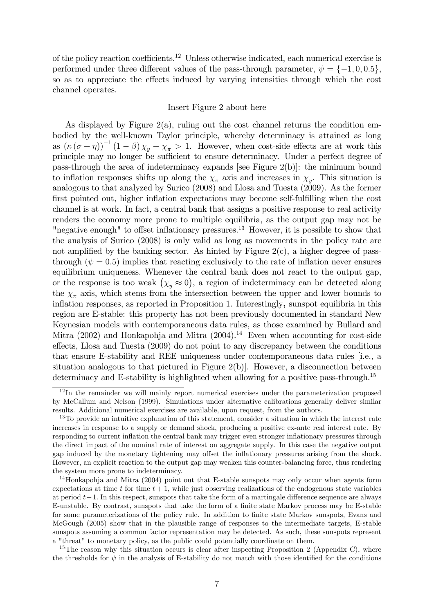of the policy reaction coefficients.<sup>12</sup> Unless otherwise indicated, each numerical exercise is performed under three different values of the pass-through parameter,  $\psi = \{-1, 0, 0.5\},\$ so as to appreciate the effects induced by varying intensities through which the cost channel operates.

#### Insert Figure 2 about here

As displayed by Figure  $2(a)$ , ruling out the cost channel returns the condition embodied by the well-known Taylor principle, whereby determinacy is attained as long as  $(\kappa(\sigma+\eta))^{-1}(1-\beta)\chi_y+\chi_{\pi}>1$ . However, when cost-side effects are at work this principle may no longer be sufficient to ensure determinacy. Under a perfect degree of pass-through the area of indeterminacy expands [see Figure 2(b)]: the minimum bound to inflation responses shifts up along the  $\chi_{\pi}$  axis and increases in  $\chi_y$ . This situation is analogous to that analyzed by Surico (2008) and Llosa and Tuesta (2009). As the former first pointed out, higher inflation expectations may become self-fulfilling when the cost channel is at work. In fact, a central bank that assigns a positive response to real activity renders the economy more prone to multiple equilibria, as the output gap may not be "negative enough" to offset inflationary pressures.<sup>13</sup> However, it is possible to show that the analysis of Surico (2008) is only valid as long as movements in the policy rate are not amplified by the banking sector. As hinted by Figure  $2(c)$ , a higher degree of passthrough  $(\psi = 0.5)$  implies that reacting exclusively to the rate of inflation never ensures equilibrium uniqueness. Whenever the central bank does not react to the output gap, or the response is too weak  $(\chi_y \approx 0)$ , a region of indeterminacy can be detected along the  $\chi_{\pi}$  axis, which stems from the intersection between the upper and lower bounds to inflation responses, as reported in Proposition 1. Interestingly, sunspot equilibria in this region are E-stable: this property has not been previously documented in standard New Keynesian models with contemporaneous data rules, as those examined by Bullard and Mitra  $(2002)$  and Honkapohja and Mitra  $(2004).<sup>14</sup>$  Even when accounting for cost-side effects, Llosa and Tuesta (2009) do not point to any discrepancy between the conditions that ensure E-stability and REE uniqueness under contemporaneous data rules [i.e., a situation analogous to that pictured in Figure  $2(b)$ . However, a disconnection between determinacy and E-stability is highlighted when allowing for a positive pass-through.<sup>15</sup>

<sup>&</sup>lt;sup>12</sup>In the remainder we will mainly report numerical exercises under the parameterization proposed by McCallum and Nelson (1999). Simulations under alternative calibrations generally deliver similar results. Additional numerical exercises are available, upon request, from the authors.

<sup>&</sup>lt;sup>13</sup>To provide an intuitive explanation of this statement, consider a situation in which the interest rate increases in response to a supply or demand shock, producing a positive ex-ante real interest rate. By responding to current inflation the central bank may trigger even stronger inflationary pressures through the direct impact of the nominal rate of interest on aggregate supply. In this case the negative output gap induced by the monetary tightening may offset the inflationary pressures arising from the shock. However, an explicit reaction to the output gap may weaken this counter-balancing force, thus rendering the system more prone to indeterminacy.

<sup>&</sup>lt;sup>14</sup>Honkapohja and Mitra (2004) point out that E-stable sunspots may only occur when agents form expectations at time t for time  $t + 1$ , while just observing realizations of the endogenous state variables at period  $t-1$ . In this respect, sunspots that take the form of a martingale difference sequence are always E-unstable. By contrast, sunspots that take the form of a finite state Markov process may be E-stable for some parameterizations of the policy rule. In addition to finite state Markov sunspots, Evans and McGough (2005) show that in the plausible range of responses to the intermediate targets, E-stable sunspots assuming a common factor representation may be detected. As such, these sunspots represent a "threat" to monetary policy, as the public could potentially coordinate on them.

<sup>&</sup>lt;sup>15</sup>The reason why this situation occurs is clear after inspecting Proposition 2 (Appendix C), where the thresholds for  $\psi$  in the analysis of E-stability do not match with those identified for the conditions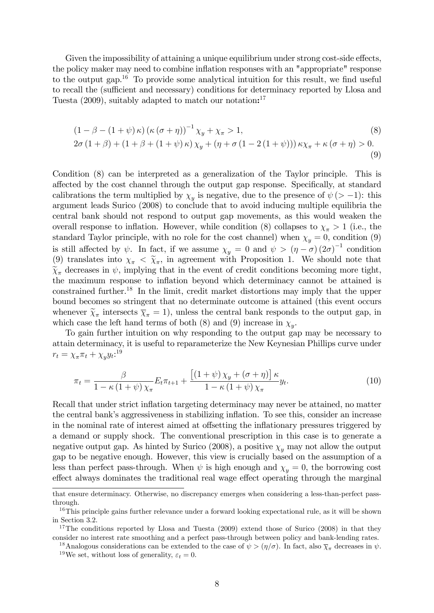Given the impossibility of attaining a unique equilibrium under strong cost-side effects, the policy maker may need to combine inflation responses with an "appropriate" response to the output gap.<sup>16</sup> To provide some analytical intuition for this result, we find useful to recall the (sufficient and necessary) conditions for determinacy reported by Llosa and Tuesta (2009), suitably adapted to match our notation: 17

$$
(1 - \beta - (1 + \psi) \kappa) (\kappa (\sigma + \eta))^{-1} \chi_y + \chi_\pi > 1,
$$
  
\n
$$
2\sigma (1 + \beta) + (1 + \beta + (1 + \psi) \kappa) \chi_y + (\eta + \sigma (1 - 2 (1 + \psi))) \kappa \chi_\pi + \kappa (\sigma + \eta) > 0.
$$
  
\n(9)

Condition (8) can be interpreted as a generalization of the Taylor principle. This is affected by the cost channel through the output gap response. Specifically, at standard calibrations the term multiplied by  $\chi_y$  is negative, due to the presence of  $\psi$  (> -1): this argument leads Surico (2008) to conclude that to avoid inducing multiple equilibria the central bank should not respond to output gap movements, as this would weaken the overall response to inflation. However, while condition (8) collapses to  $\chi_{\pi} > 1$  (i.e., the standard Taylor principle, with no role for the cost channel) when  $\chi_y = 0$ , condition (9) is still affected by  $\psi$ . In fact, if we assume  $\chi_y = 0$  and  $\psi > (\eta - \sigma) (2\sigma)^{-1}$  condition (9) translates into  $\chi_{\pi} < \tilde{\chi}_{\pi}$ , in agreement with Proposition 1. We should note that  $\tilde{\chi}_{\pi}$  decreases in  $\psi$ , implying that in the event of credit conditions becoming more tight, the maximum response to inflation beyond which determinacy cannot be attained is constrained further.<sup>18</sup> In the limit, credit market distortions may imply that the upper bound becomes so stringent that no determinate outcome is attained (this event occurs whenever  $\widetilde{\chi}_{\pi}$  intersects  $\overline{\chi}_{\pi} = 1$ , unless the central bank responds to the output gap, in which case the left hand terms of both (8) and (9) increase in  $\chi_y$ .

To gain further intuition on why responding to the output gap may be necessary to attain determinacy, it is useful to reparameterize the New Keynesian Phillips curve under  $r_t = \chi_{\pi} \pi_t + \chi_y y_t$ :<sup>19</sup>

$$
\pi_t = \frac{\beta}{1 - \kappa \left(1 + \psi\right) \chi_\pi} E_t \pi_{t+1} + \frac{\left[(1 + \psi) \chi_y + (\sigma + \eta)\right] \kappa}{1 - \kappa \left(1 + \psi\right) \chi_\pi} y_t.
$$
\n(10)

Recall that under strict inflation targeting determinacy may never be attained, no matter the central bank's aggressiveness in stabilizing inflation. To see this, consider an increase in the nominal rate of interest aimed at offsetting the inflationary pressures triggered by a demand or supply shock. The conventional prescription in this case is to generate a negative output gap. As hinted by Surico (2008), a positive  $\chi_y$  may not allow the output gap to be negative enough. However, this view is crucially based on the assumption of a less than perfect pass-through. When  $\psi$  is high enough and  $\chi_u = 0$ , the borrowing cost effect always dominates the traditional real wage effect operating through the marginal

that ensure determinacy. Otherwise, no discrepancy emerges when considering a less-than-perfect passthrough.

<sup>&</sup>lt;sup>16</sup>This principle gains further relevance under a forward looking expectational rule, as it will be shown in Section 3.2.

<sup>&</sup>lt;sup>17</sup>The conditions reported by Llosa and Tuesta (2009) extend those of Surico (2008) in that they consider no interest rate smoothing and a perfect pass-through between policy and bank-lending rates.

<sup>&</sup>lt;sup>18</sup>Analogous considerations can be extended to the case of  $\psi > (\eta/\sigma)$ . In fact, also  $\overline{\chi}_{\pi}$  decreases in  $\psi$ . <sup>19</sup>We set, without loss of generality,  $\varepsilon_t = 0$ .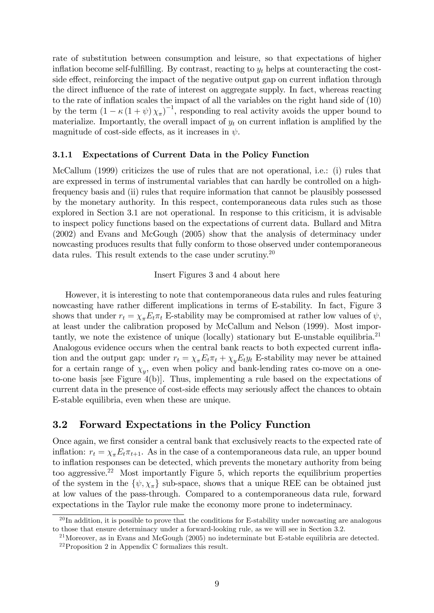rate of substitution between consumption and leisure, so that expectations of higher inflation become self-fulfilling. By contrast, reacting to  $y_t$  helps at counteracting the costside effect, reinforcing the impact of the negative output gap on current inflation through the direct influence of the rate of interest on aggregate supply. In fact, whereas reacting to the rate of inflation scales the impact of all the variables on the right hand side of  $(10)$ by the term  $(1 - \kappa (1 + \psi) \chi_{\pi})^{-1}$ , responding to real activity avoids the upper bound to materialize. Importantly, the overall impact of  $y_t$  on current inflation is amplified by the magnitude of cost-side effects, as it increases in  $\psi$ .

#### 3.1.1 Expectations of Current Data in the Policy Function

McCallum (1999) criticizes the use of rules that are not operational, i.e.: (i) rules that are expressed in terms of instrumental variables that can hardly be controlled on a highfrequency basis and (ii) rules that require information that cannot be plausibly possessed by the monetary authority. In this respect, contemporaneous data rules such as those explored in Section 3.1 are not operational. In response to this criticism, it is advisable to inspect policy functions based on the expectations of current data. Bullard and Mitra (2002) and Evans and McGough (2005) show that the analysis of determinacy under nowcasting produces results that fully conform to those observed under contemporaneous data rules. This result extends to the case under scrutiny.<sup>20</sup>

Insert Figures 3 and 4 about here

However, it is interesting to note that contemporaneous data rules and rules featuring nowcasting have rather different implications in terms of E-stability. In fact, Figure 3 shows that under  $r_t = \chi_{\pi} E_t \pi_t$  E-stability may be compromised at rather low values of  $\psi$ , at least under the calibration proposed by McCallum and Nelson (1999). Most importantly, we note the existence of unique (locally) stationary but E-unstable equilibria.<sup>21</sup> Analogous evidence occurs when the central bank reacts to both expected current ináation and the output gap: under  $r_t = \chi_{\pi} E_t \pi_t + \chi_y E_t y_t$  E-stability may never be attained for a certain range of  $\chi_y$ , even when policy and bank-lending rates co-move on a oneto-one basis [see Figure 4(b)]. Thus, implementing a rule based on the expectations of current data in the presence of cost-side effects may seriously affect the chances to obtain E-stable equilibria, even when these are unique.

### 3.2 Forward Expectations in the Policy Function

Once again, we first consider a central bank that exclusively reacts to the expected rate of inflation:  $r_t = \chi_{\pi} E_t \pi_{t+1}$ . As in the case of a contemporaneous data rule, an upper bound to inflation responses can be detected, which prevents the monetary authority from being too aggressive.<sup>22</sup> Most importantly Figure 5, which reports the equilibrium properties of the system in the  $\{\psi, \chi_{\pi}\}\$  sub-space, shows that a unique REE can be obtained just at low values of the pass-through. Compared to a contemporaneous data rule, forward expectations in the Taylor rule make the economy more prone to indeterminacy.

 $^{20}$ In addition, it is possible to prove that the conditions for E-stability under now casting are analogous to those that ensure determinacy under a forward-looking rule, as we will see in Section 3.2.

 $^{21}$ Moreover, as in Evans and McGough (2005) no indeterminate but E-stable equilibria are detected.

<sup>22</sup>Proposition 2 in Appendix C formalizes this result.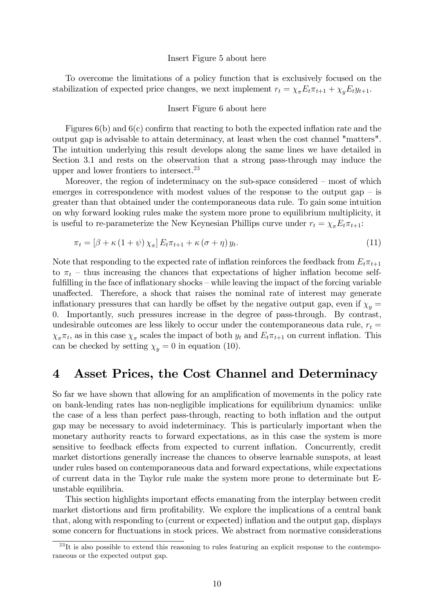#### Insert Figure 5 about here

To overcome the limitations of a policy function that is exclusively focused on the stabilization of expected price changes, we next implement  $r_t = \chi_{\pi} E_t \pi_{t+1} + \chi_y E_t y_{t+1}$ .

#### Insert Figure 6 about here

Figures  $6(b)$  and  $6(c)$  confirm that reacting to both the expected inflation rate and the output gap is advisable to attain determinacy, at least when the cost channel "matters". The intuition underlying this result develops along the same lines we have detailed in Section 3.1 and rests on the observation that a strong pass-through may induce the upper and lower frontiers to intersect.<sup>23</sup>

Moreover, the region of indeterminacy on the sub-space considered  $-$  most of which emerges in correspondence with modest values of the response to the output gap  $-$  is greater than that obtained under the contemporaneous data rule. To gain some intuition on why forward looking rules make the system more prone to equilibrium multiplicity, it is useful to re-parameterize the New Keynesian Phillips curve under  $r_t = \chi_{\pi} E_t \pi_{t+1}$ :

$$
\pi_t = \left[\beta + \kappa \left(1 + \psi\right) \chi_{\pi}\right] E_t \pi_{t+1} + \kappa \left(\sigma + \eta\right) y_t. \tag{11}
$$

Note that responding to the expected rate of inflation reinforces the feedback from  $E_t\pi_{t+1}$ to  $\pi_t$  – thus increasing the chances that expectations of higher inflation become selffulfilling in the face of inflationary shocks  $-\text{while leaving the impact of the forcing variable}$ unaffected. Therefore, a shock that raises the nominal rate of interest may generate inflationary pressures that can hardly be offset by the negative output gap, even if  $\chi_y =$ 0. Importantly, such pressures increase in the degree of pass-through. By contrast, undesirable outcomes are less likely to occur under the contemporaneous data rule,  $r_t =$  $\chi_{\pi} \pi_t$ , as in this case  $\chi_{\pi}$  scales the impact of both  $y_t$  and  $E_t \pi_{t+1}$  on current inflation. This can be checked by setting  $\chi_y = 0$  in equation (10).

## 4 Asset Prices, the Cost Channel and Determinacy

So far we have shown that allowing for an amplification of movements in the policy rate on bank-lending rates has non-negligible implications for equilibrium dynamics: unlike the case of a less than perfect pass-through, reacting to both ináation and the output gap may be necessary to avoid indeterminacy. This is particularly important when the monetary authority reacts to forward expectations, as in this case the system is more sensitive to feedback effects from expected to current inflation. Concurrently, credit market distortions generally increase the chances to observe learnable sunspots, at least under rules based on contemporaneous data and forward expectations, while expectations of current data in the Taylor rule make the system more prone to determinate but Eunstable equilibria.

This section highlights important effects emanating from the interplay between credit market distortions and firm profitability. We explore the implications of a central bank that, along with responding to (current or expected) inflation and the output gap, displays some concern for fluctuations in stock prices. We abstract from normative considerations

 $^{23}$ It is also possible to extend this reasoning to rules featuring an explicit response to the contemporaneous or the expected output gap.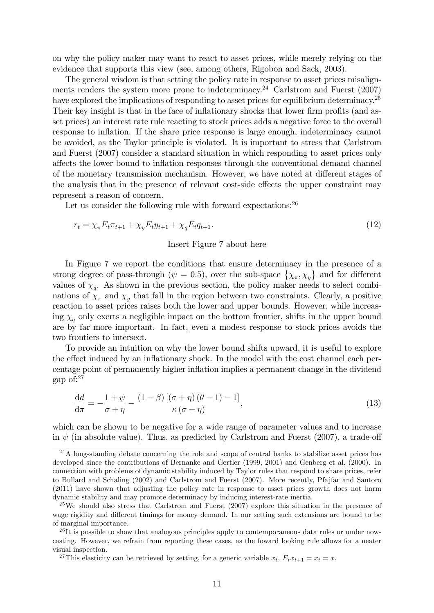on why the policy maker may want to react to asset prices, while merely relying on the evidence that supports this view (see, among others, Rigobon and Sack, 2003).

The general wisdom is that setting the policy rate in response to asset prices misalignments renders the system more prone to indeterminacy.<sup>24</sup> Carlstrom and Fuerst  $(2007)$ have explored the implications of responding to asset prices for equilibrium determinacy.<sup>25</sup> Their key insight is that in the face of inflationary shocks that lower firm profits (and asset prices) an interest rate rule reacting to stock prices adds a negative force to the overall response to inflation. If the share price response is large enough, indeterminacy cannot be avoided, as the Taylor principle is violated. It is important to stress that Carlstrom and Fuerst (2007) consider a standard situation in which responding to asset prices only affects the lower bound to inflation responses through the conventional demand channel of the monetary transmission mechanism. However, we have noted at different stages of the analysis that in the presence of relevant cost-side effects the upper constraint may represent a reason of concern.

Let us consider the following rule with forward expectations:  $2<sup>6</sup>$ 

$$
r_t = \chi_{\pi} E_t \pi_{t+1} + \chi_y E_t y_{t+1} + \chi_q E_t q_{t+1}.
$$
\n(12)

#### Insert Figure 7 about here

In Figure 7 we report the conditions that ensure determinacy in the presence of a strong degree of pass-through ( $\psi = 0.5$ ), over the sub-space  $\{\chi_{\pi}, \chi_{y}\}\$  and for different values of  $\chi_q$ . As shown in the previous section, the policy maker needs to select combinations of  $\chi_{\pi}$  and  $\chi_{y}$  that fall in the region between two constraints. Clearly, a positive reaction to asset prices raises both the lower and upper bounds. However, while increasing  $\chi_a$  only exerts a negligible impact on the bottom frontier, shifts in the upper bound are by far more important. In fact, even a modest response to stock prices avoids the two frontiers to intersect.

To provide an intuition on why the lower bound shifts upward, it is useful to explore the effect induced by an inflationary shock. In the model with the cost channel each percentage point of permanently higher inflation implies a permanent change in the dividend gap of:<sup>27</sup>

$$
\frac{\mathrm{d}d}{\mathrm{d}\pi} = -\frac{1+\psi}{\sigma+\eta} - \frac{(1-\beta)\left[\left(\sigma+\eta\right)\left(\theta-1\right)-1\right]}{\kappa\left(\sigma+\eta\right)},\tag{13}
$$

which can be shown to be negative for a wide range of parameter values and to increase in  $\psi$  (in absolute value). Thus, as predicted by Carlstrom and Fuerst (2007), a trade-off

<sup>27</sup>This elasticity can be retrieved by setting, for a generic variable  $x_t$ ,  $E_t x_{t+1} = x_t = x$ .

<sup>&</sup>lt;sup>24</sup>A long-standing debate concerning the role and scope of central banks to stabilize asset prices has developed since the contributions of Bernanke and Gertler (1999, 2001) and Genberg et al. (2000). In connection with problems of dynamic stability induced by Taylor rules that respond to share prices, refer to Bullard and Schaling (2002) and Carlstrom and Fuerst (2007). More recently, Pfajfar and Santoro (2011) have shown that adjusting the policy rate in response to asset prices growth does not harm dynamic stability and may promote determinacy by inducing interest-rate inertia.

 $^{25}$ We should also stress that Carlstrom and Fuerst (2007) explore this situation in the presence of wage rigidity and different timings for money demand. In our setting such extensions are bound to be of marginal importance.

 $^{26}$ It is possible to show that analogous principles apply to contemporaneous data rules or under nowcasting. However, we refrain from reporting these cases, as the foward looking rule allows for a neater visual inspection.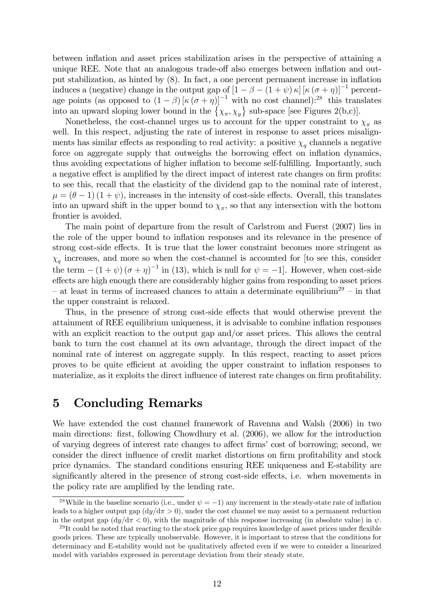between inflation and asset prices stabilization arises in the perspective of attaining a unique REE. Note that an analogous trade-off also emerges between inflation and output stabilization, as hinted by  $(8)$ . In fact, a one percent permanent increase in inflation induces a (negative) change in the output gap of  $\left[1 - \beta - (1 + \psi) \kappa\right] [\kappa \left(\sigma + \eta\right)]^{-1}$  percentage points (as opposed to  $(1 - \beta) [\kappa (\sigma + \eta)]^{-1}$  with no cost channel):<sup>28</sup> this translates into an upward sloping lower bound in the  $\{\chi_{\pi}, \chi_{y}\}$  sub-space [see Figures 2(b,c)].

Nonetheless, the cost-channel urges us to account for the upper constraint to  $\chi_{\pi}$  as well. In this respect, adjusting the rate of interest in response to asset prices misalignments has similar effects as responding to real activity: a positive  $\chi_q$  channels a negative force on aggregate supply that outweighs the borrowing effect on inflation dynamics, thus avoiding expectations of higher inflation to become self-fulfilling. Importantly, such a negative effect is amplified by the direct impact of interest rate changes on firm profits: to see this, recall that the elasticity of the dividend gap to the nominal rate of interest,  $\mu = (\theta - 1)(1 + \psi)$ , increases in the intensity of cost-side effects. Overall, this translates into an upward shift in the upper bound to  $\chi_{\pi}$ , so that any intersection with the bottom frontier is avoided.

The main point of departure from the result of Carlstrom and Fuerst (2007) lies in the role of the upper bound to inflation responses and its relevance in the presence of strong cost-side effects. It is true that the lower constraint becomes more stringent as  $\chi_q$  increases, and more so when the cost-channel is accounted for [to see this, consider the term  $-(1 + \psi)(\sigma + \eta)^{-1}$  in (13), which is null for  $\psi = -1$ . However, when cost-side effects are high enough there are considerably higher gains from responding to asset prices – at least in terms of increased chances to attain a determinate equilibrium<sup>29</sup> – in that the upper constraint is relaxed.

Thus, in the presence of strong cost-side effects that would otherwise prevent the attainment of REE equilibrium uniqueness, it is advisable to combine ináation responses with an explicit reaction to the output gap and/or asset prices. This allows the central bank to turn the cost channel at its own advantage, through the direct impact of the nominal rate of interest on aggregate supply. In this respect, reacting to asset prices proves to be quite efficient at avoiding the upper constraint to inflation responses to materialize, as it exploits the direct influence of interest rate changes on firm profitability.

## 5 Concluding Remarks

We have extended the cost channel framework of Ravenna and Walsh (2006) in two main directions: first, following Chowdhury et al. (2006), we allow for the introduction of varying degrees of interest rate changes to affect firms' cost of borrowing; second, we consider the direct influence of credit market distortions on firm profitability and stock price dynamics. The standard conditions ensuring REE uniqueness and E-stability are significantly altered in the presence of strong cost-side effects, i.e. when movements in the policy rate are amplified by the lending rate.

<sup>&</sup>lt;sup>28</sup>While in the baseline scenario (i.e., under  $\psi = -1$ ) any increment in the steady-state rate of inflation leads to a higher output gap  $\left(\frac{dy}{d\pi} > 0\right)$ , under the cost channel we may assist to a permanent reduction in the output gap  $\left(\frac{dy}{d\pi} < 0\right)$ , with the magnitude of this response increasing (in absolute value) in  $\psi$ .

 $^{29}$ It could be noted that reacting to the stock price gap requires knowledge of asset prices under flexible goods prices. These are typically unobservable. However, it is important to stress that the conditions for determinacy and E-stability would not be qualitatively affected even if we were to consider a linearized model with variables expressed in percentage deviation from their steady state.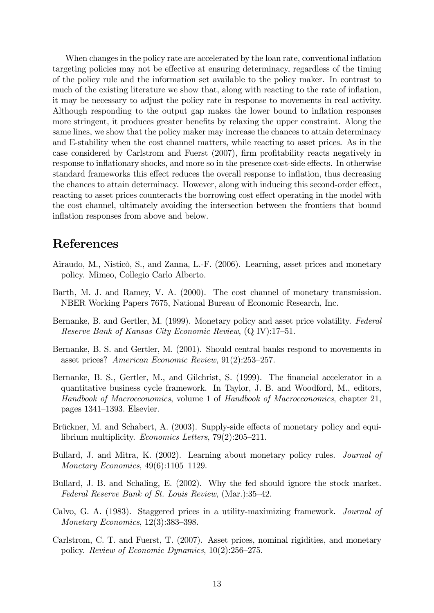When changes in the policy rate are accelerated by the loan rate, conventional inflation targeting policies may not be effective at ensuring determinacy, regardless of the timing of the policy rule and the information set available to the policy maker. In contrast to much of the existing literature we show that, along with reacting to the rate of inflation, it may be necessary to adjust the policy rate in response to movements in real activity. Although responding to the output gap makes the lower bound to inflation responses more stringent, it produces greater benefits by relaxing the upper constraint. Along the same lines, we show that the policy maker may increase the chances to attain determinacy and E-stability when the cost channel matters, while reacting to asset prices. As in the case considered by Carlstrom and Fuerst (2007), firm profitability reacts negatively in response to inflationary shocks, and more so in the presence cost-side effects. In otherwise standard frameworks this effect reduces the overall response to inflation, thus decreasing the chances to attain determinacy. However, along with inducing this second-order effect, reacting to asset prices counteracts the borrowing cost effect operating in the model with the cost channel, ultimately avoiding the intersection between the frontiers that bound inflation responses from above and below.

## References

- Airaudo, M., Nisticò, S., and Zanna, L.-F. (2006). Learning, asset prices and monetary policy. Mimeo, Collegio Carlo Alberto.
- Barth, M. J. and Ramey, V. A. (2000). The cost channel of monetary transmission. NBER Working Papers 7675, National Bureau of Economic Research, Inc.
- Bernanke, B. and Gertler, M. (1999). Monetary policy and asset price volatility. Federal Reserve Bank of Kansas City Economic Review,  $(Q IV)$ :17-51.
- Bernanke, B. S. and Gertler, M. (2001). Should central banks respond to movements in asset prices? American Economic Review,  $91(2):253-257$ .
- Bernanke, B. S., Gertler, M., and Gilchrist, S. (1999). The financial accelerator in a quantitative business cycle framework. In Taylor, J. B. and Woodford, M., editors, Handbook of Macroeconomics, volume 1 of Handbook of Macroeconomics, chapter 21, pages  $1341-1393$ . Elsevier.
- Brückner, M. and Schabert, A. (2003). Supply-side effects of monetary policy and equilibrium multiplicity. *Economics Letters*,  $79(2):205-211$ .
- Bullard, J. and Mitra, K. (2002). Learning about monetary policy rules. Journal of Monetary Economics,  $49(6):1105-1129$ .
- Bullard, J. B. and Schaling, E. (2002). Why the fed should ignore the stock market. Federal Reserve Bank of St. Louis Review,  $(Mar.):35-42$ .
- Calvo, G. A. (1983). Staggered prices in a utility-maximizing framework. Journal of Monetary Economics,  $12(3):383-398$ .
- Carlstrom, C. T. and Fuerst, T. (2007). Asset prices, nominal rigidities, and monetary policy. Review of Economic Dynamics,  $10(2):256-275$ .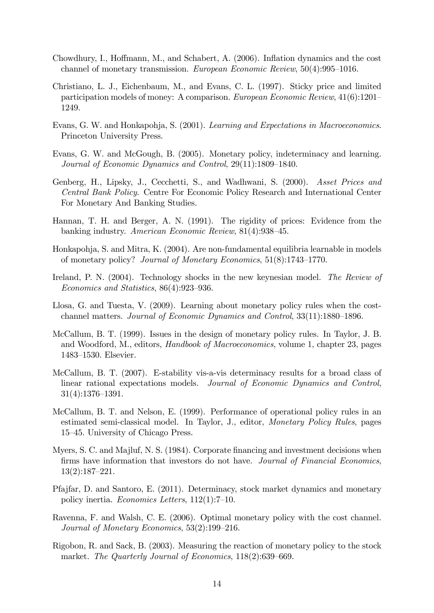- Chowdhury, I., Hoffmann, M., and Schabert, A.  $(2006)$ . Inflation dynamics and the cost channel of monetary transmission. European Economic Review,  $50(4):995-1016$ .
- Christiano, L. J., Eichenbaum, M., and Evans, C. L. (1997). Sticky price and limited participation models of money: A comparison. *European Economic Review*,  $41(6):1201-$ 1249.
- Evans, G. W. and Honkapohja, S. (2001). Learning and Expectations in Macroeconomics. Princeton University Press.
- Evans, G. W. and McGough, B. (2005). Monetary policy, indeterminacy and learning. Journal of Economic Dynamics and Control,  $29(11):1809-1840$ .
- Genberg, H., Lipsky, J., Cecchetti, S., and Wadhwani, S. (2000). Asset Prices and Central Bank Policy. Centre For Economic Policy Research and International Center For Monetary And Banking Studies.
- Hannan, T. H. and Berger, A. N. (1991). The rigidity of prices: Evidence from the banking industry. American Economic Review,  $81(4):938-45$ .
- Honkapohja, S. and Mitra, K. (2004). Are non-fundamental equilibria learnable in models of monetary policy? Journal of Monetary Economics,  $51(8):1743-1770$ .
- Ireland, P. N. (2004). Technology shocks in the new keynesian model. The Review of Economics and Statistics,  $86(4):923-936$ .
- Llosa, G. and Tuesta, V. (2009). Learning about monetary policy rules when the costchannel matters. Journal of Economic Dynamics and Control,  $33(11):1880-1896$ .
- McCallum, B. T. (1999). Issues in the design of monetary policy rules. In Taylor, J. B. and Woodford, M., editors, Handbook of Macroeconomics, volume 1, chapter 23, pages 1483–1530. Elsevier.
- McCallum, B. T. (2007). E-stability vis-a-vis determinacy results for a broad class of linear rational expectations models. Journal of Economic Dynamics and Control,  $31(4):1376-1391.$
- McCallum, B. T. and Nelson, E. (1999). Performance of operational policy rules in an estimated semi-classical model. In Taylor, J., editor, Monetary Policy Rules, pages 15<sup>-45</sup>. University of Chicago Press.
- Myers, S. C. and Majluf, N. S. (1984). Corporate financing and investment decisions when firms have information that investors do not have. Journal of Financial Economics,  $13(2):187-221.$
- Pfajfar, D. and Santoro, E. (2011). Determinacy, stock market dynamics and monetary policy inertia. Economics Letters,  $112(1)$ :7-10.
- Ravenna, F. and Walsh, C. E. (2006). Optimal monetary policy with the cost channel. Journal of Monetary Economics,  $53(2):199-216$ .
- Rigobon, R. and Sack, B. (2003). Measuring the reaction of monetary policy to the stock market. The Quarterly Journal of Economics,  $118(2):639-669$ .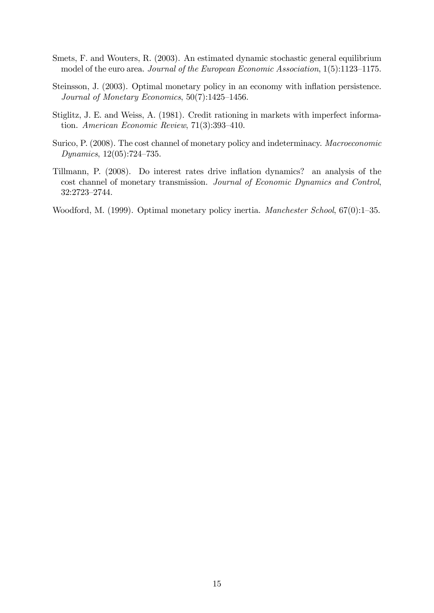- Smets, F. and Wouters, R. (2003). An estimated dynamic stochastic general equilibrium model of the euro area. Journal of the European Economic Association,  $1(5):1123-1175$ .
- Steinsson, J. (2003). Optimal monetary policy in an economy with ináation persistence. Journal of Monetary Economics,  $50(7)$ :1425–1456.
- Stiglitz, J. E. and Weiss, A. (1981). Credit rationing in markets with imperfect information. American Economic Review,  $71(3):393-410$ .
- Surico, P. (2008). The cost channel of monetary policy and indeterminacy. Macroeconomic Dynamics,  $12(05):724-735$ .
- Tillmann, P. (2008). Do interest rates drive inflation dynamics? an analysis of the cost channel of monetary transmission. Journal of Economic Dynamics and Control, 32:2723-2744.

Woodford, M. (1999). Optimal monetary policy inertia. *Manchester School*,  $67(0)$ :1–35.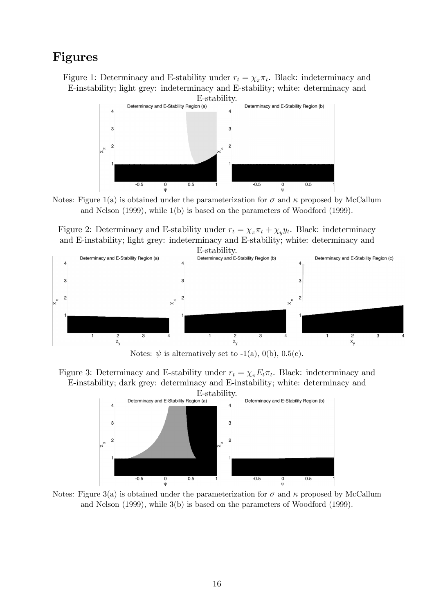## Figures

Figure 1: Determinacy and E-stability under  $r_t = \chi_{\pi} \pi_t$ . Black: indeterminacy and E-instability; light grey: indeterminacy and E-stability; white: determinacy and



Notes: Figure 1(a) is obtained under the parameterization for  $\sigma$  and  $\kappa$  proposed by McCallum and Nelson (1999), while 1(b) is based on the parameters of Woodford (1999).

Figure 2: Determinacy and E-stability under  $r_t = \chi_\pi \pi_t + \chi_y y_t$ . Black: indeterminacy and E-instability; light grey: indeterminacy and E-stability; white: determinacy and



Notes:  $\psi$  is alternatively set to -1(a), 0(b), 0.5(c).





Notes: Figure 3(a) is obtained under the parameterization for  $\sigma$  and  $\kappa$  proposed by McCallum and Nelson (1999), while 3(b) is based on the parameters of Woodford (1999).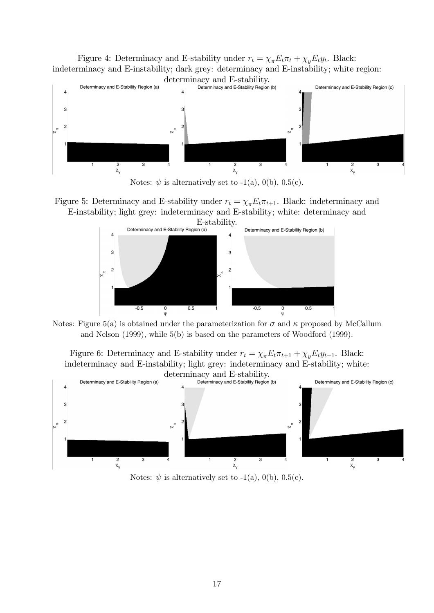Figure 4: Determinacy and E-stability under  $r_t = \chi_{\pi} E_t \pi_t + \chi_y E_t y_t$ . Black: indeterminacy and E-instability; dark grey: determinacy and E-instability; white region:



Notes:  $\psi$  is alternatively set to -1(a), 0(b), 0.5(c).

Figure 5: Determinacy and E-stability under  $r_t = \chi_{\pi} E_t \pi_{t+1}$ . Black: indeterminacy and E-instability; light grey: indeterminacy and E-stability; white: determinacy and



Notes: Figure 5(a) is obtained under the parameterization for  $\sigma$  and  $\kappa$  proposed by McCallum and Nelson (1999), while 5(b) is based on the parameters of Woodford (1999).

Figure 6: Determinacy and E-stability under  $r_t = \chi_{\pi} E_t \pi_{t+1} + \chi_y E_t y_{t+1}$ . Black: indeterminacy and E-instability; light grey: indeterminacy and E-stability; white:



Notes:  $\psi$  is alternatively set to -1(a), 0(b), 0.5(c).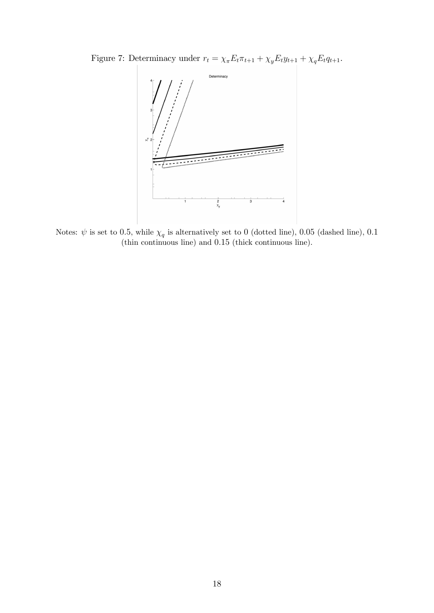Figure 7: Determinacy under  $r_t = \chi_{\pi} E_t \pi_{t+1} + \chi_y E_t y_{t+1} + \chi_q E_t q_{t+1}.$ 



Notes:  $\psi$  is set to 0.5, while  $\chi_q$  is alternatively set to 0 (dotted line), 0.05 (dashed line), 0.1 (thin continuous line) and 0:15 (thick continuous line).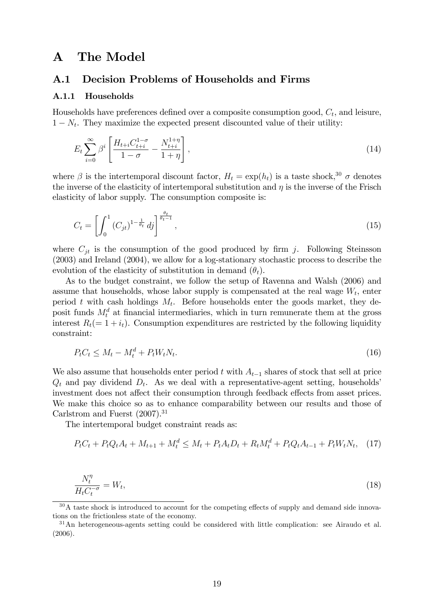## A The Model

### A.1 Decision Problems of Households and Firms

### A.1.1 Households

Households have preferences defined over a composite consumption good,  $C_t$ , and leisure,  $1 - N_t$ . They maximize the expected present discounted value of their utility:

$$
E_t \sum_{i=0}^{\infty} \beta^i \left[ \frac{H_{t+i} C_{t+i}^{1-\sigma}}{1-\sigma} - \frac{N_{t+i}^{1+\eta}}{1+\eta} \right],
$$
\n(14)

where  $\beta$  is the intertemporal discount factor,  $H_t = \exp(h_t)$  is a taste shock,  $30 \sigma$  denotes the inverse of the elasticity of intertemporal substitution and  $\eta$  is the inverse of the Frisch elasticity of labor supply. The consumption composite is:

$$
C_t = \left[ \int_0^1 (C_{jt})^{1 - \frac{1}{\theta_t}} \, dj \right]^{\frac{\theta_t}{\theta_t - 1}},\tag{15}
$$

where  $C_{jt}$  is the consumption of the good produced by firm j. Following Steinsson (2003) and Ireland (2004), we allow for a log-stationary stochastic process to describe the evolution of the elasticity of substitution in demand  $(\theta_t)$ .

As to the budget constraint, we follow the setup of Ravenna and Walsh (2006) and assume that households, whose labor supply is compensated at the real wage  $W_t$ , enter period t with cash holdings  $M_t$ . Before households enter the goods market, they deposit funds  $M_t^d$  at financial intermediaries, which in turn remunerate them at the gross interest  $R_t(= 1 + i_t)$ . Consumption expenditures are restricted by the following liquidity constraint:

$$
P_t C_t \le M_t - M_t^d + P_t W_t N_t. \tag{16}
$$

We also assume that households enter period t with  $A_{t-1}$  shares of stock that sell at price  $Q_t$  and pay dividend  $D_t$ . As we deal with a representative-agent setting, households<sup>'</sup> investment does not affect their consumption through feedback effects from asset prices. We make this choice so as to enhance comparability between our results and those of Carlstrom and Fuerst  $(2007)^{31}$ 

The intertemporal budget constraint reads as:

$$
P_t C_t + P_t Q_t A_t + M_{t+1} + M_t^d \le M_t + P_t A_t D_t + R_t M_t^d + P_t Q_t A_{t-1} + P_t W_t N_t, \quad (17)
$$

$$
\frac{N_t^{\eta}}{H_t C_t^{-\sigma}} = W_t,\tag{18}
$$

 $30A$  taste shock is introduced to account for the competing effects of supply and demand side innovations on the frictionless state of the economy.

<sup>&</sup>lt;sup>31</sup>An heterogeneous-agents setting could be considered with little complication: see Airaudo et al. (2006).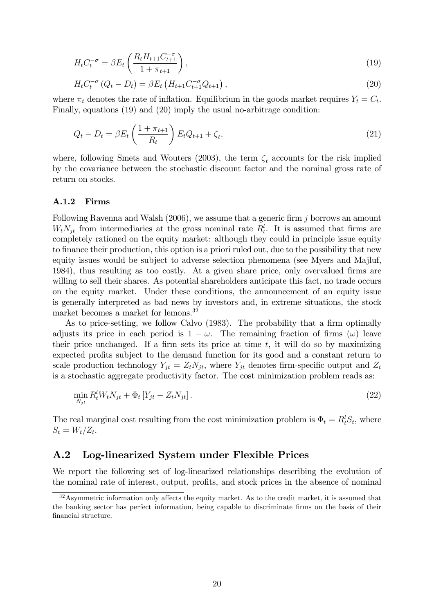$$
H_t C_t^{-\sigma} = \beta E_t \left( \frac{R_t H_{t+1} C_{t+1}^{-\sigma}}{1 + \pi_{t+1}} \right),
$$
\n(19)

$$
H_t C_t^{-\sigma} (Q_t - D_t) = \beta E_t (H_{t+1} C_{t+1}^{-\sigma} Q_{t+1}), \qquad (20)
$$

where  $\pi_t$  denotes the rate of inflation. Equilibrium in the goods market requires  $Y_t = C_t$ . Finally, equations (19) and (20) imply the usual no-arbitrage condition:

$$
Q_t - D_t = \beta E_t \left(\frac{1 + \pi_{t+1}}{R_t}\right) E_t Q_{t+1} + \zeta_t,
$$
\n(21)

where, following Smets and Wouters (2003), the term  $\zeta_t$  accounts for the risk implied by the covariance between the stochastic discount factor and the nominal gross rate of return on stocks.

#### A.1.2 Firms

Following Ravenna and Walsh  $(2006)$ , we assume that a generic firm j borrows an amount  $W_t N_{jt}$  from intermediaries at the gross nominal rate  $R_t^l$ . It is assumed that firms are completely rationed on the equity market: although they could in principle issue equity to finance their production, this option is a priori ruled out, due to the possibility that new equity issues would be subject to adverse selection phenomena (see Myers and Majluf, 1984), thus resulting as too costly. At a given share price, only overvalued firms are willing to sell their shares. As potential shareholders anticipate this fact, no trade occurs on the equity market. Under these conditions, the announcement of an equity issue is generally interpreted as bad news by investors and, in extreme situations, the stock market becomes a market for lemons.<sup>32</sup>

As to price-setting, we follow Calvo (1983). The probability that a firm optimally adjusts its price in each period is  $1 - \omega$ . The remaining fraction of firms  $(\omega)$  leave their price unchanged. If a firm sets its price at time  $t$ , it will do so by maximizing expected profits subject to the demand function for its good and a constant return to scale production technology  $Y_{jt} = Z_t N_{jt}$ , where  $Y_{jt}$  denotes firm-specific output and  $Z_t$ is a stochastic aggregate productivity factor. The cost minimization problem reads as:

$$
\min_{N_{jt}} R_t^l W_t N_{jt} + \Phi_t \left[ Y_{jt} - Z_t N_{jt} \right]. \tag{22}
$$

The real marginal cost resulting from the cost minimization problem is  $\Phi_t = R_t^l S_t$ , where  $S_t = W_t/Z_t.$ 

### A.2 Log-linearized System under Flexible Prices

We report the following set of log-linearized relationships describing the evolution of the nominal rate of interest, output, profits, and stock prices in the absence of nominal

 $32$ Asymmetric information only affects the equity market. As to the credit market, it is assumed that the banking sector has perfect information, being capable to discriminate firms on the basis of their financial structure.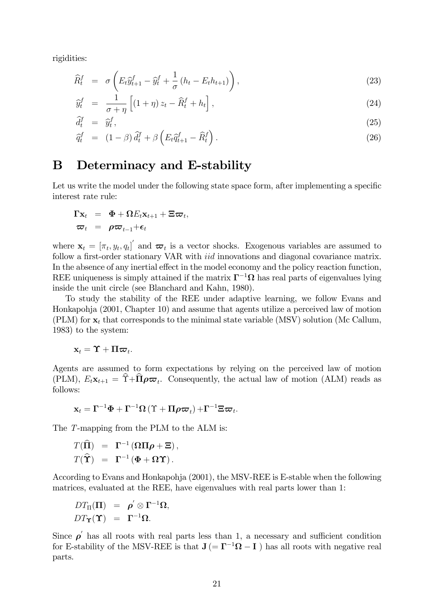rigidities:

$$
\widehat{R}_t^f = \sigma \left( E_t \widehat{y}_{t+1}^f - \widehat{y}_t^f + \frac{1}{\sigma} \left( h_t - E_t h_{t+1} \right) \right), \tag{23}
$$

$$
\widehat{y}_t^f = \frac{1}{\sigma + \eta} \left[ (1 + \eta) z_t - \widehat{R}_t^f + h_t \right],\tag{24}
$$

$$
\widehat{d}_t^f = \widehat{y}_t^f,\tag{25}
$$

$$
\widehat{q}_t^f = (1 - \beta) \widehat{d}_t^f + \beta \left( E_t \widehat{q}_{t+1}^f - \widehat{R}_t^f \right). \tag{26}
$$

## B Determinacy and E-stability

Let us write the model under the following state space form, after implementing a specific interest rate rule:

$$
\begin{array}{rcl}\n\Gamma \mathbf{x}_t &=& \mathbf{\Phi} + \Omega E_t \mathbf{x}_{t+1} + \Xi \boldsymbol{\varpi}_t, \\
\boldsymbol{\varpi}_t &=& \rho \boldsymbol{\varpi}_{t-1} + \boldsymbol{\epsilon}_t\n\end{array}
$$

where  $\mathbf{x}_t = [\pi_t, y_t, q_t]$  and  $\boldsymbol{\varpi}_t$  is a vector shocks. Exogenous variables are assumed to follow a first-order stationary VAR with *iid* innovations and diagonal covariance matrix. In the absence of any inertial effect in the model economy and the policy reaction function. REE uniqueness is simply attained if the matrix  $\Gamma^{-1}\Omega$  has real parts of eigenvalues lying inside the unit circle (see Blanchard and Kahn, 1980).

To study the stability of the REE under adaptive learning, we follow Evans and Honkapohja (2001, Chapter 10) and assume that agents utilize a perceived law of motion (PLM) for  $x_t$  that corresponds to the minimal state variable (MSV) solution (Mc Callum, 1983) to the system:

$$
\mathbf{x}_t = \mathbf{\Upsilon} + \mathbf{\Pi} \boldsymbol{\varpi}_t.
$$

Agents are assumed to form expectations by relying on the perceived law of motion (PLM),  $E_t \mathbf{x}_{t+1} = \Upsilon + \Pi \rho \varpi_t$ . Consequently, the actual law of motion (ALM) reads as follows:

$$
\mathbf{x}_{t} = \boldsymbol{\Gamma}^{-1} \boldsymbol{\Phi} + \boldsymbol{\Gamma}^{-1} \boldsymbol{\Omega} \left( \boldsymbol{\Upsilon} + \boldsymbol{\Pi} \boldsymbol{\rho} \boldsymbol{\varpi}_{t} \right) + \boldsymbol{\Gamma}^{-1} \boldsymbol{\Xi} \boldsymbol{\varpi}_{t}.
$$

The T-mapping from the PLM to the ALM is:

$$
T(\widehat{\Pi}) = \Gamma^{-1}(\Omega \Pi \rho + \Xi),
$$
  

$$
T(\widehat{\Upsilon}) = \Gamma^{-1}(\Phi + \Omega \Upsilon).
$$

According to Evans and Honkapohja (2001), the MSV-REE is E-stable when the following matrices, evaluated at the REE, have eigenvalues with real parts lower than 1:

$$
\begin{array}{rcl} DT_{\Pi}(\Pi) & = & \rho^{'} \otimes \Gamma^{-1} \Omega, \\ DT_{\Upsilon}(\Upsilon) & = & \Gamma^{-1} \Omega. \end{array}
$$

Since  $\rho'$  has all roots with real parts less than 1, a necessary and sufficient condition for E-stability of the MSV-REE is that  $J(=\Gamma^{-1}\Omega - I)$  has all roots with negative real parts.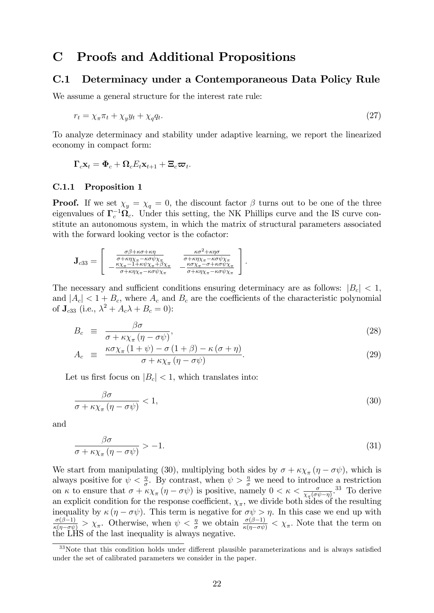## C Proofs and Additional Propositions

### C.1 Determinacy under a Contemporaneous Data Policy Rule

We assume a general structure for the interest rate rule:

$$
r_t = \chi_\pi \pi_t + \chi_y y_t + \chi_q q_t. \tag{27}
$$

To analyze determinacy and stability under adaptive learning, we report the linearized economy in compact form:

$$
\boldsymbol{\Gamma}_c \mathbf{x}_t = \boldsymbol{\Phi}_c + \boldsymbol{\Omega}_c E_t \mathbf{x}_{t+1} + \boldsymbol{\Xi}_c \boldsymbol{\varpi}_t.
$$

#### C.1.1 Proposition 1

**Proof.** If we set  $\chi_y = \chi_q = 0$ , the discount factor  $\beta$  turns out to be one of the three eigenvalues of  $\Gamma_c^{-1} \Omega_c$ . Under this setting, the NK Phillips curve and the IS curve constitute an autonomous system, in which the matrix of structural parameters associated with the forward looking vector is the cofactor:

$$
\mathbf{J}_{c33} = \begin{bmatrix} \frac{\sigma\beta + \kappa\sigma + \kappa\eta}{\sigma + \kappa\eta\chi_{\pi} - \kappa\sigma\psi\chi_{\pi}} & \frac{\kappa\sigma^2 + \kappa\eta\sigma}{\sigma + \kappa\eta\chi_{\pi} - \kappa\sigma\psi\chi_{\pi}} \\ -\frac{\kappa\chi_{\pi} - 1 + \kappa\psi\chi_{\pi} + \beta\chi_{\pi}}{\sigma + \kappa\eta\chi_{\pi} - \kappa\sigma\psi\chi_{\pi}} & -\frac{\kappa\sigma\chi_{\pi} - \sigma + \kappa\sigma\psi\chi_{\pi}}{\sigma + \kappa\eta\chi_{\pi} - \kappa\sigma\psi\chi_{\pi}} \end{bmatrix}.
$$

The necessary and sufficient conditions ensuring determinacy are as follows:  $|B_c| < 1$ , and  $|A_c| < 1 + B_c$ , where  $A_c$  and  $B_c$  are the coefficients of the characteristic polynomial of  $J_{c33}$  (i.e.,  $\lambda^2 + A_c \lambda + B_c = 0$ ):

$$
B_c \equiv \frac{\beta \sigma}{\sigma + \kappa \chi_{\pi} (\eta - \sigma \psi)},\tag{28}
$$

$$
A_c \equiv \frac{\kappa \sigma \chi_{\pi} (1 + \psi) - \sigma (1 + \beta) - \kappa (\sigma + \eta)}{\sigma + \kappa \chi_{\pi} (\eta - \sigma \psi)}.
$$
 (29)

Let us first focus on  $|B_c| < 1$ , which translates into:

$$
\frac{\beta \sigma}{\sigma + \kappa \chi_{\pi} (\eta - \sigma \psi)} < 1,\tag{30}
$$

and

$$
\frac{\beta \sigma}{\sigma + \kappa \chi_{\pi} (\eta - \sigma \psi)} > -1. \tag{31}
$$

We start from manipulating (30), multiplying both sides by  $\sigma + \kappa \chi_{\pi} (\eta - \sigma \psi)$ , which is always positive for  $\psi < \frac{\eta}{\sigma}$ . By contrast, when  $\psi > \frac{\eta}{\sigma}$  we need to introduce a restriction on  $\kappa$  to ensure that  $\sigma + \kappa \chi_{\pi} (\eta - \sigma \psi)$  is positive, namely  $0 < \kappa < \frac{\sigma}{\chi_{\pi} (\sigma \psi - \eta)}$ <sup>33</sup>. To derive an explicit condition for the response coefficient,  $\chi_{\pi}$ , we divide both sides of the resulting inequality by  $\kappa (\eta - \sigma \psi)$ . This term is negative for  $\sigma \psi > \eta$ . In this case we end up with  $\frac{\sigma(\beta-1)}{\kappa(\eta-\sigma\psi)}>\chi_{\pi}$ . Otherwise, when  $\psi<\frac{\eta}{\sigma}$  we obtain  $\frac{\sigma(\beta-1)}{\kappa(\eta-\sigma\psi)}<\chi_{\pi}$ . Note that the term on the LHS of the last inequality is always negative.

 $33$ Note that this condition holds under different plausible parameterizations and is always satisfied under the set of calibrated parameters we consider in the paper.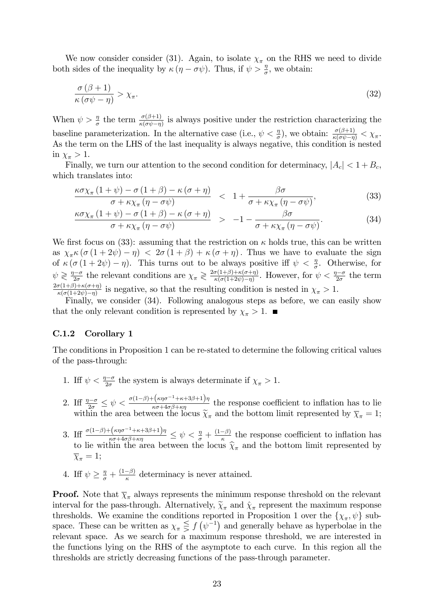We now consider consider (31). Again, to isolate  $\chi_{\pi}$  on the RHS we need to divide both sides of the inequality by  $\kappa (\eta - \sigma \psi)$ . Thus, if  $\psi > \frac{\eta}{\sigma}$ , we obtain:

$$
\frac{\sigma(\beta+1)}{\kappa(\sigma\psi-\eta)} > \chi_{\pi}.\tag{32}
$$

When  $\psi > \frac{\eta}{\sigma}$  the term  $\frac{\sigma(\beta+1)}{\kappa(\sigma\psi-\eta)}$  is always positive under the restriction characterizing the baseline parameterization. In the alternative case (i.e.,  $\psi < \frac{\eta}{\sigma}$ ), we obtain:  $\frac{\sigma(\beta+1)}{\kappa(\sigma\psi-\eta)} < \chi_{\pi}$ As the term on the LHS of the last inequality is always negative, this condition is nested in  $\chi_{\pi} > 1$ .

Finally, we turn our attention to the second condition for determinacy,  $|A_c| < 1 + B_c$ , which translates into:

$$
\frac{\kappa \sigma \chi_{\pi} (1+\psi) - \sigma (1+\beta) - \kappa (\sigma + \eta)}{\sigma + \kappa \chi_{\pi} (\eta - \sigma \psi)} < 1 + \frac{\beta \sigma}{\sigma + \kappa \chi_{\pi} (\eta - \sigma \psi)},\tag{33}
$$

$$
\frac{\kappa \sigma \chi_{\pi} (1 + \psi) - \sigma (1 + \beta) - \kappa (\sigma + \eta)}{\sigma + \kappa \chi_{\pi} (\eta - \sigma \psi)} > -1 - \frac{\beta \sigma}{\sigma + \kappa \chi_{\pi} (\eta - \sigma \psi)}.
$$
(34)

We first focus on (33): assuming that the restriction on  $\kappa$  holds true, this can be written as  $\chi_{\pi} \kappa (\sigma (1+2\psi) - \eta) < 2\sigma (1+\beta) + \kappa (\sigma + \eta)$ . Thus we have to evaluate the sign of  $\kappa (\sigma (1 + 2\psi) - \eta)$ . This turns out to be always positive iff  $\psi < \frac{\eta}{\sigma}$ . Otherwise, for  $\psi \gtrless \frac{\eta-\sigma}{2\sigma}$  the relevant conditions are  $\chi_{\pi} \gtrless \frac{2\sigma(1+\beta)+\kappa(\sigma+\eta)}{\kappa(\sigma(1+2\psi)-\eta)}$  $\frac{\sigma(1+\beta)+\kappa(\sigma+\eta)}{\kappa(\sigma(1+2\psi)-\eta)}$ . However, for  $\psi < \frac{\eta-\sigma}{2\sigma}$  the term  $2\sigma(1+\beta)+\kappa(\sigma+\eta)$  $\frac{\sigma(1+\beta)+\kappa(\sigma+\eta)}{\kappa(\sigma(1+2\psi)-\eta)}$  is negative, so that the resulting condition is nested in  $\chi_{\pi} > 1$ .

Finally, we consider (34). Following analogous steps as before, we can easily show that the only relevant condition is represented by  $\chi_{\pi} > 1$ .

### C.1.2 Corollary 1

The conditions in Proposition 1 can be re-stated to determine the following critical values of the pass-through:

- 1. Iff  $\psi < \frac{\eta \sigma}{2\sigma}$  the system is always determinate if  $\chi_{\pi} > 1$ .
- 2. If  $\frac{\eta-\sigma}{2\sigma} \leq \psi < \frac{\sigma(1-\beta)+(\kappa\eta\sigma^{-1}+\kappa+3\beta+1)\eta}{\kappa\sigma+4\sigma\beta+\kappa\eta}$  the response coefficient to inflation has to lie within the area between the locus  $\widetilde{\chi}_{\pi}$  and the bottom limit represented by  $\overline{\chi}_{\pi} = 1$ ;
- 3. If  $\frac{\sigma(1-\beta)+(\kappa\eta\sigma^{-1}+\kappa+3\beta+1)\eta}{\kappa\sigma+4\sigma\beta+\kappa\eta} \leq \psi < \frac{\eta}{\sigma}+\frac{(1-\beta)}{\kappa}$  the response coefficient to inflation has to lie within the area between the locus  $\widehat{\chi}_{\pi}$  and the bottom limit represented by  $\overline{\chi}_{\pi} = 1;$
- 4. Iff  $\psi \geq \frac{\eta}{\sigma} + \frac{(1-\beta)}{\kappa}$  determinacy is never attained.

**Proof.** Note that  $\overline{\chi}_{\pi}$  always represents the minimum response threshold on the relevant interval for the pass-through. Alternatively,  $\widetilde{\chi}_{\pi}$  and  $\widehat{\chi}_{\pi}$  represent the maximum response thresholds. We examine the conditions reported in Proposition 1 over the  $\{\chi_{\pi}, \psi\}$  subspace. These can be written as  $\chi_{\pi} \leq f(\psi^{-1})$  and generally behave as hyperbolae in the relevant space. As we search for a maximum response threshold, we are interested in the functions lying on the RHS of the asymptote to each curve. In this region all the thresholds are strictly decreasing functions of the pass-through parameter.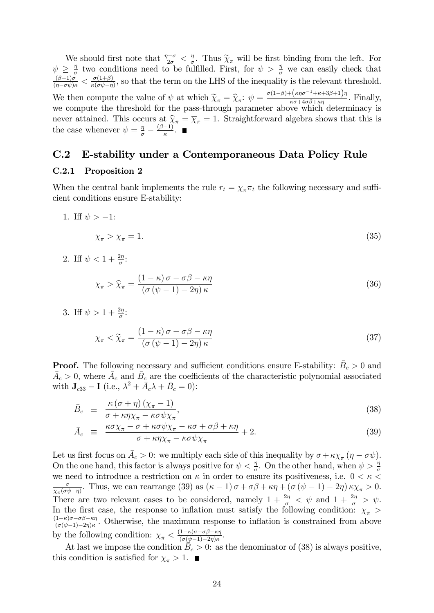We should first note that  $\frac{\eta-\sigma}{2\sigma} < \frac{\eta}{\sigma}$  $\frac{\pi}{\sigma}$ . Thus  $\widetilde{\chi}_{\pi}$  will be first binding from the left. For  $\psi \geq \frac{\eta}{\sigma}$  $\frac{\eta}{\sigma}$  two conditions need to be fulfilled. First, for  $\psi > \frac{\eta}{\sigma}$  we can easily check that  $\frac{(\beta-1)\sigma}{(\eta-\sigma\psi)\kappa}<\frac{\sigma(1+\beta)}{\kappa(\sigma\psi-\eta)}$  $\frac{\partial (1+\beta)}{\partial (\partial \psi - \eta)}$ , so that the term on the LHS of the inequality is the relevant threshold. We then compute the value of  $\psi$  at which  $\widetilde{\chi}_{\pi} = \widehat{\chi}_{\pi}$ :  $\psi = \frac{\sigma(1-\beta) + (\kappa \eta \sigma^{-1} + \kappa + 3\beta + 1)\eta}{\kappa \sigma + 4\sigma \beta + \kappa \eta}$  $\frac{\kappa \sigma + 4\sigma \beta + \kappa \eta}{\kappa \sigma + 4\sigma \beta + \kappa \eta}$ . Finally, we compute the threshold for the pass-through parameter above which determinacy is never attained. This occurs at  $\hat{\chi}_{\pi} = \overline{\chi}_{\pi} = 1$ . Straightforward algebra shows that this is the case whenever  $\psi = \frac{\eta}{\sigma} - \frac{(\beta - 1)}{\kappa}$ .

### C.2 E-stability under a Contemporaneous Data Policy Rule

### C.2.1 Proposition 2

When the central bank implements the rule  $r_t = \chi_\pi \pi_t$  the following necessary and sufficient conditions ensure E-stability:

- 1. If  $\psi > -1$ :  $\chi_{\pi} > \overline{\chi}_{\pi} = 1.$ (35)
- 2. Iff  $\psi < 1 + \frac{2\eta}{\sigma}$ :

$$
\chi_{\pi} > \widehat{\chi}_{\pi} = \frac{(1 - \kappa)\,\sigma - \sigma\beta - \kappa\eta}{\left(\sigma\left(\psi - 1\right) - 2\eta\right)\kappa} \tag{36}
$$

3. Iff  $\psi > 1 + \frac{2\eta}{\sigma}$ :

$$
\chi_{\pi} < \widetilde{\chi}_{\pi} = \frac{\left(1 - \kappa\right)\sigma - \sigma\beta - \kappa\eta}{\left(\sigma\left(\psi - 1\right) - 2\eta\right)\kappa} \tag{37}
$$

**Proof.** The following necessary and sufficient conditions ensure E-stability:  $\bar{B}_c > 0$  and  $\bar{A}_c > 0$ , where  $\bar{A}_c$  and  $\bar{B}_c$  are the coefficients of the characteristic polynomial associated with  $\mathbf{J}_{c33} - \mathbf{I}$  (i.e.,  $\lambda^2 + \bar{A}_c \lambda + \bar{B}_c = 0$ ):

$$
\bar{B}_c \equiv \frac{\kappa \left(\sigma + \eta\right) \left(\chi_{\pi} - 1\right)}{\sigma + \kappa \eta \chi_{\pi} - \kappa \sigma \psi \chi_{\pi}},\tag{38}
$$

$$
\bar{A}_c \equiv \frac{\kappa \sigma \chi_{\pi} - \sigma + \kappa \sigma \psi \chi_{\pi} - \kappa \sigma + \sigma \beta + \kappa \eta}{\sigma + \kappa \eta \chi_{\pi} - \kappa \sigma \psi \chi_{\pi}} + 2. \tag{39}
$$

Let us first focus on  $\bar{A}_c > 0$ : we multiply each side of this inequality by  $\sigma + \kappa \chi_{\pi} (\eta - \sigma \psi)$ . On the one hand, this factor is always positive for  $\psi < \frac{\eta}{\sigma}$ . On the other hand, when  $\psi > \frac{\eta}{\sigma}$ we need to introduce a restriction on  $\kappa$  in order to ensure its positiveness, i.e.  $0 < \kappa <$  $\sigma$  $\frac{\sigma}{\chi_{\pi}(\sigma\psi-\eta)}$ . Thus, we can rearrange (39) as  $(\kappa-1)\sigma+\sigma\beta+\kappa\eta+\left(\sigma(\psi-1)-2\eta\right)\kappa\chi_{\pi}>0$ . There are two relevant cases to be considered, namely  $1 + \frac{2\eta}{\sigma} < \psi$  and  $1 + \frac{2\eta}{\sigma} > \psi$ . In the first case, the response to inflation must satisfy the following condition:  $\chi_{\pi}$  >  $\frac{(1-\kappa)\sigma-\sigma\beta-\kappa\eta}{\sigma}$  $\frac{1-\kappa\sigma-\sigma\beta-\kappa\eta}{(\sigma(\psi-1)-2\eta)\kappa}$ . Otherwise, the maximum response to inflation is constrained from above by the following condition:  $\chi_{\pi} < \frac{(1-\kappa)\sigma - \sigma\beta - \kappa\eta}{(\sigma(\psi-1)-2\eta)\kappa}$  $\frac{1-\kappa)\sigma-\sigma\beta-\kappa\eta}{(\sigma(\psi-1)-2\eta)\kappa}.$ 

At last we impose the condition  $\overline{B}_c > 0$ : as the denominator of (38) is always positive, this condition is satisfied for  $\chi_{\pi} > 1$ .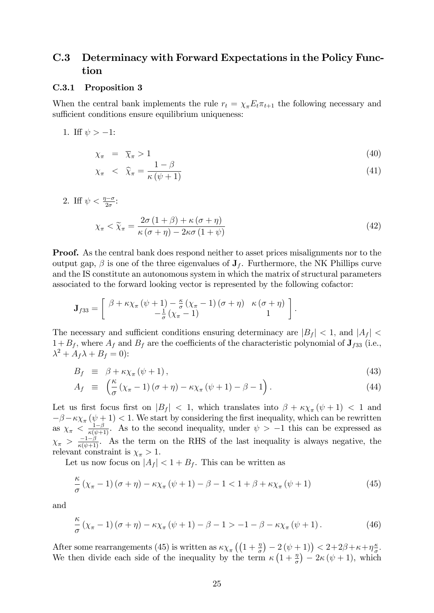## C.3 Determinacy with Forward Expectations in the Policy Function

#### C.3.1 Proposition 3

When the central bank implements the rule  $r_t = \chi_{\pi} E_t \pi_{t+1}$  the following necessary and sufficient conditions ensure equilibrium uniqueness:

1. Iff  $\psi > -1$ :

$$
\chi_{\pi} = \overline{\chi}_{\pi} > 1 \tag{40}
$$

$$
\chi_{\pi} \quad < \quad \widehat{\chi}_{\pi} = \frac{1 - \beta}{\kappa \left(\psi + 1\right)}\tag{41}
$$

2. Iff  $\psi < \frac{\eta - \sigma}{2\sigma}$ :

$$
\chi_{\pi} < \widetilde{\chi}_{\pi} = \frac{2\sigma \left(1 + \beta\right) + \kappa \left(\sigma + \eta\right)}{\kappa \left(\sigma + \eta\right) - 2\kappa \sigma \left(1 + \psi\right)}\tag{42}
$$

Proof. As the central bank does respond neither to asset prices misalignments nor to the output gap,  $\beta$  is one of the three eigenvalues of  $J_f$ . Furthermore, the NK Phillips curve and the IS constitute an autonomous system in which the matrix of structural parameters associated to the forward looking vector is represented by the following cofactor:

$$
\mathbf{J}_{f33} = \begin{bmatrix} \beta + \kappa \chi_{\pi} (\psi + 1) - \frac{\kappa}{\sigma} (\chi_{\pi} - 1) (\sigma + \eta) & \kappa (\sigma + \eta) \\ -\frac{1}{\sigma} (\chi_{\pi} - 1) & 1 \end{bmatrix}.
$$

The necessary and sufficient conditions ensuring determinacy are  $|B_f|$  < 1, and  $|A_f|$  <  $1 + B_f$ , where  $A_f$  and  $B_f$  are the coefficients of the characteristic polynomial of  $J_{f33}$  (i.e.,  $\lambda^2 + A_f \lambda + B_f = 0$ :

$$
B_f \equiv \beta + \kappa \chi_{\pi} (\psi + 1), \tag{43}
$$

$$
A_f \equiv \left( \frac{\kappa}{\sigma} \left( \chi_{\pi} - 1 \right) \left( \sigma + \eta \right) - \kappa \chi_{\pi} \left( \psi + 1 \right) - \beta - 1 \right). \tag{44}
$$

Let us first focus first on  $|B_f| < 1$ , which translates into  $\beta + \kappa \chi_\pi(\psi + 1) < 1$  and  $-\beta - \kappa \chi_{\pi}(\psi + 1) < 1.$  We start by considering the first inequality, which can be rewritten as  $\chi_{\pi} < \frac{1-\beta}{\kappa(\psi+1)}$ . As to the second inequality, under  $\psi > -1$  this can be expressed as  $\chi_{\pi} > \frac{-1-\beta}{\kappa(\psi+1)}$ . As the term on the RHS of the last inequality is always negative, the relevant constraint is  $\chi_{\pi} > 1$ .

Let us now focus on  $|A_f| < 1 + B_f$ . This can be written as

$$
\frac{\kappa}{\sigma} \left( \chi_{\pi} - 1 \right) \left( \sigma + \eta \right) - \kappa \chi_{\pi} \left( \psi + 1 \right) - \beta - 1 < 1 + \beta + \kappa \chi_{\pi} \left( \psi + 1 \right) \tag{45}
$$

and

$$
\frac{\kappa}{\sigma} \left( \chi_{\pi} - 1 \right) \left( \sigma + \eta \right) - \kappa \chi_{\pi} \left( \psi + 1 \right) - \beta - 1 > -1 - \beta - \kappa \chi_{\pi} \left( \psi + 1 \right). \tag{46}
$$

After some rearrangements (45) is written as  $\kappa \chi_{\pi} \left( \left(1 + \frac{\eta}{\sigma}\right) - 2(\psi + 1) \right) < 2 + 2\beta + \kappa + \eta \frac{\kappa}{\sigma}$  $\frac{\kappa}{\sigma}$ . We then divide each side of the inequality by the term  $\kappa \left(1 + \frac{\eta}{\sigma}\right) - 2\kappa (\psi + 1)$ , which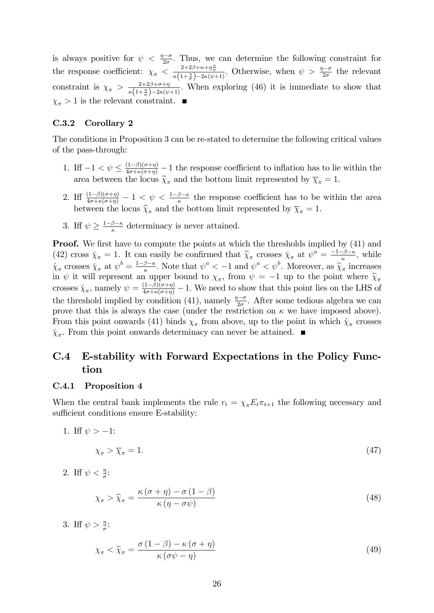is always positive for  $\psi < \frac{\eta-\sigma}{2\sigma}$ . Thus, we can determine the following constraint for the response coefficient:  $\chi_{\pi} < \frac{2+2\beta+\kappa+\eta\frac{\kappa}{\sigma}}{\kappa(1+\frac{\eta}{\sigma})-2\kappa(\psi+1)}$ . Otherwise, when  $\psi > \frac{\eta-\sigma}{2\sigma}$  the relevant constraint is  $\chi_{\pi} > \frac{2+2\beta+\sigma+\eta}{\kappa(1+\eta^2)-2\kappa(\eta)}$  $\frac{2+2\beta+\sigma+\eta}{\kappa(1+\frac{\eta}{\sigma})-2\kappa(\psi+1)}$ . When exploring (46) it is immediate to show that  $\chi_{\pi} > 1$  is the relevant constraint.

### C.3.2 Corollary 2

The conditions in Proposition 3 can be re-stated to determine the following critical values of the pass-through:

- 1. If  $-1 < \psi \leq \frac{(1-\beta)(\sigma+\eta)}{4\sigma+\kappa(\sigma+\eta)}-1$  the response coefficient to inflation has to lie within the area between the locus  $\tilde{\chi}_{\pi}$  and the bottom limit represented by  $\overline{\chi}_{\pi} = 1$ .
- 2. If  $\frac{(1-\beta)(\sigma+\eta)}{4\sigma+\kappa(\sigma+\eta)}-1 < \psi < \frac{1-\beta-\kappa}{\kappa}$  the response coefficient has to be within the area between the locus  $\widehat{\chi}_{\pi}$  and the bottom limit represented by  $\overline{\chi}_{\pi} = 1$ .
- 3. If  $\psi \geq \frac{1-\beta-\kappa}{\kappa}$  determinacy is never attained.

**Proof.** We first have to compute the points at which the thresholds implied by (41) and (42) cross  $\bar{\chi}_{\pi} = 1$ . It can easily be confirmed that  $\tilde{\chi}_{\pi}$  crosses  $\bar{\chi}_{\pi}$  at  $\psi^a = \frac{-1-\beta-\kappa}{\kappa}$ , while  $\hat{\chi}_{\pi}$  crosses  $\bar{\chi}_{\pi}$  at  $\psi^{b} = \frac{1-\beta-\kappa}{\kappa}$ . Note that  $\psi^{a} < -1$  and  $\psi^{a} < \psi^{b}$ . Moreover, as  $\tilde{\chi}_{\pi}$  increases in  $\psi$  it will represent an upper bound to  $\chi_{\pi}$ , from  $\psi = -1$  up to the point where  $\widetilde{\chi}_{\pi}$ crosses  $\hat{\chi}_{\pi}$ , namely  $\psi = \frac{(1-\beta)(\sigma+\eta)}{4\sigma+\kappa(\sigma+\eta)} - 1$ . We need to show that this point lies on the LHS of the threshold implied by condition (41), namely  $\frac{\eta-\sigma}{2\sigma}$ . After some tedious algebra we can prove that this is always the case (under the restriction on  $\kappa$  we have imposed above). From this point onwards (41) binds  $\chi_{\pi}$  from above, up to the point in which  $\hat{\chi}_{\pi}$  crosses  $\bar{\chi}_{\pi}$ . From this point onwards determinacy can never be attained.

## C.4 E-stability with Forward Expectations in the Policy Function

### C.4.1 Proposition 4

When the central bank implements the rule  $r_t = \chi_{\pi} E_t \pi_{t+1}$  the following necessary and sufficient conditions ensure E-stability:

1. Iff  $\psi > -1$ :

$$
\chi_{\pi} > \overline{\chi}_{\pi} = 1. \tag{47}
$$

2. Iff  $\psi < \frac{\eta}{\sigma}$ :

$$
\chi_{\pi} > \widehat{\chi}_{\pi} = \frac{\kappa (\sigma + \eta) - \sigma (1 - \beta)}{\kappa (\eta - \sigma \psi)} \tag{48}
$$

3. Iff  $\psi > \frac{\eta}{\sigma}$ :

$$
\chi_{\pi} < \widetilde{\chi}_{\pi} = \frac{\sigma \left( 1 - \beta \right) - \kappa \left( \sigma + \eta \right)}{\kappa \left( \sigma \psi - \eta \right)} \tag{49}
$$